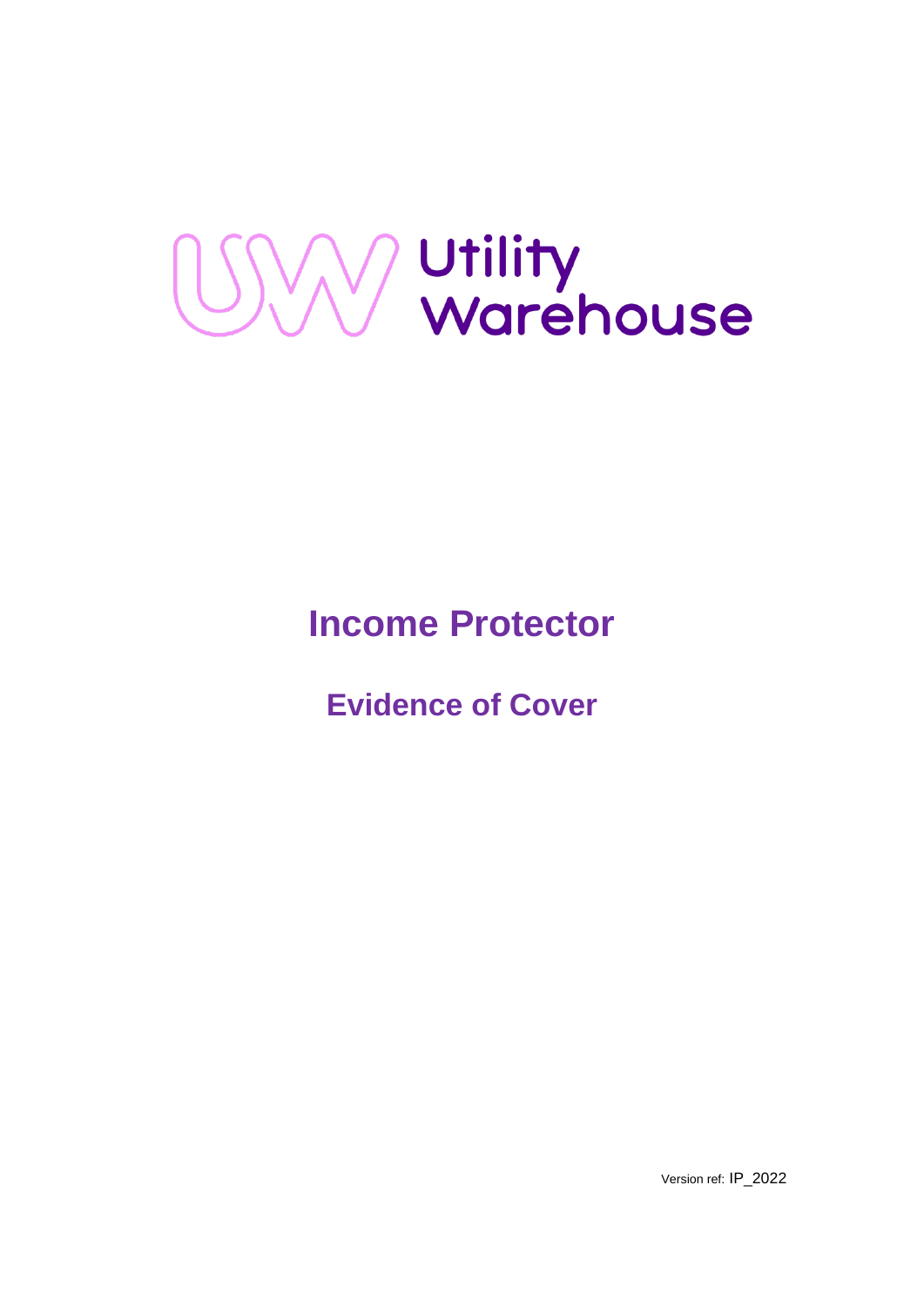

# **Income Protector**

**Evidence of Cover** 

Version ref: IP\_2022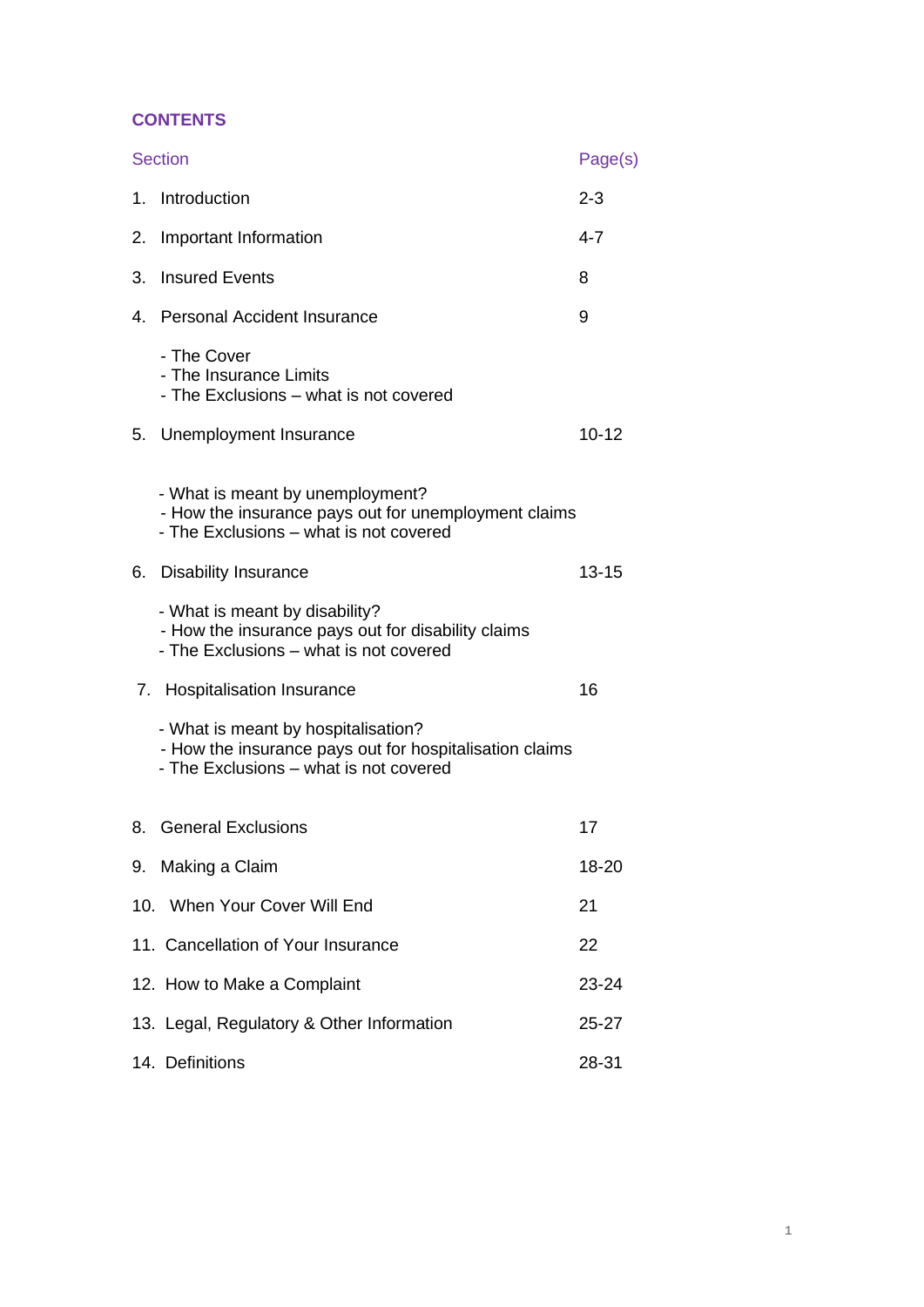# **CONTENTS**

| <b>Section</b> |                                                                                                                                          | Page(s)   |
|----------------|------------------------------------------------------------------------------------------------------------------------------------------|-----------|
|                | 1. Introduction                                                                                                                          | $2 - 3$   |
| 2.             | Important Information                                                                                                                    | $4 - 7$   |
| 3.             | <b>Insured Events</b>                                                                                                                    | 8         |
|                | 4. Personal Accident Insurance                                                                                                           | 9         |
|                | - The Cover<br>- The Insurance Limits<br>- The Exclusions - what is not covered                                                          |           |
|                | 5. Unemployment Insurance                                                                                                                | $10 - 12$ |
|                | - What is meant by unemployment?<br>- How the insurance pays out for unemployment claims<br>- The Exclusions - what is not covered       |           |
| 6.             | <b>Disability Insurance</b>                                                                                                              | $13 - 15$ |
|                | - What is meant by disability?<br>- How the insurance pays out for disability claims<br>- The Exclusions - what is not covered           |           |
| 7.             | <b>Hospitalisation Insurance</b>                                                                                                         | 16        |
|                | - What is meant by hospitalisation?<br>- How the insurance pays out for hospitalisation claims<br>- The Exclusions - what is not covered |           |
| 8.             | <b>General Exclusions</b>                                                                                                                | 17        |
|                | 9. Making a Claim                                                                                                                        | 18-20     |
|                | 10. When Your Cover Will End                                                                                                             | 21        |
|                | 11. Cancellation of Your Insurance                                                                                                       | 22        |
|                | 12. How to Make a Complaint                                                                                                              | 23-24     |
|                | 13. Legal, Regulatory & Other Information                                                                                                | 25-27     |
|                | 14. Definitions                                                                                                                          | 28-31     |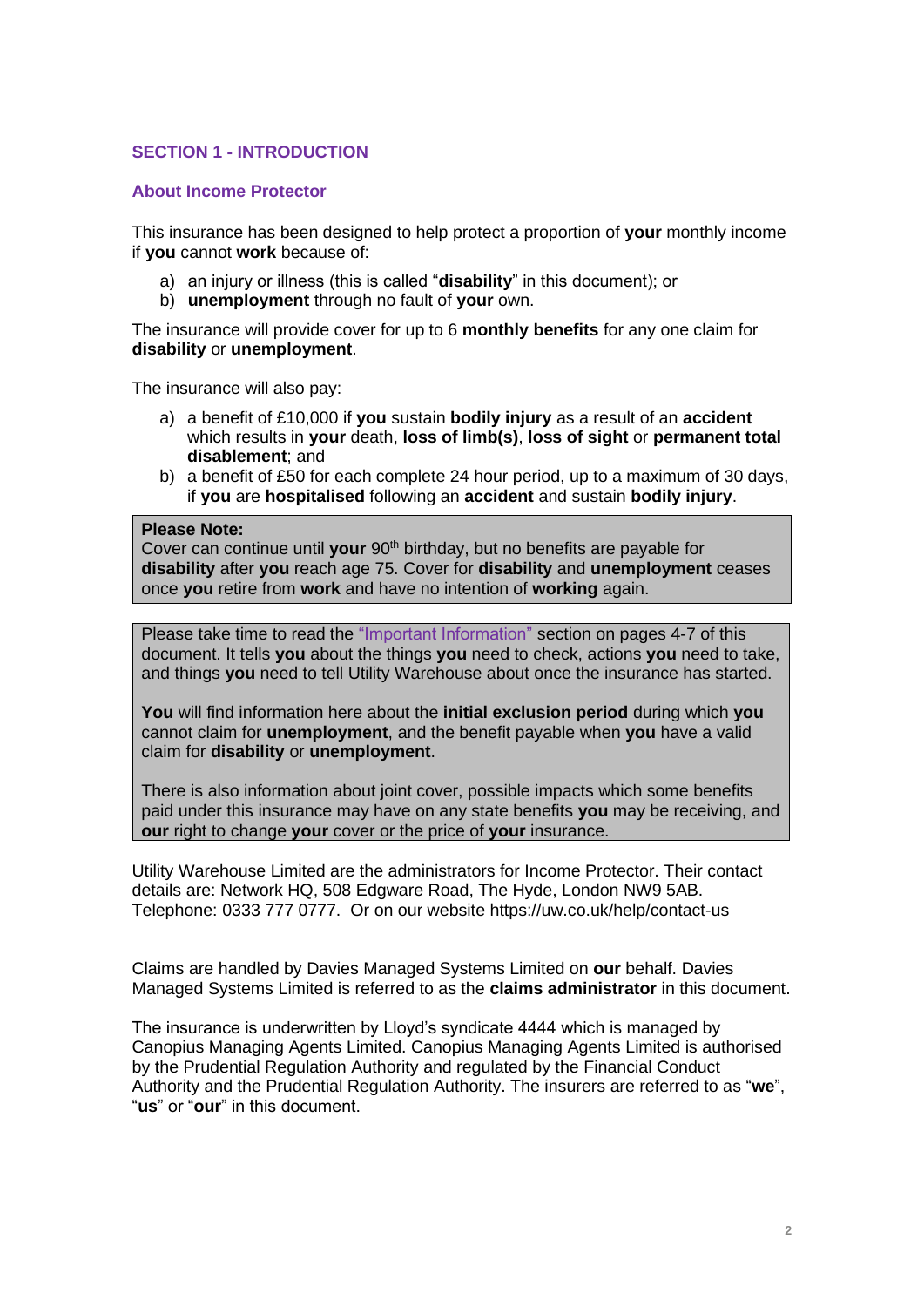# **SECTION 1 - INTRODUCTION**

## **About Income Protector**

This insurance has been designed to help protect a proportion of **your** monthly income if **you** cannot **work** because of:

- a) an injury or illness (this is called "**disability**" in this document); or
- b) **unemployment** through no fault of **your** own.

The insurance will provide cover for up to 6 **monthly benefits** for any one claim for **disability** or **unemployment**.

The insurance will also pay:

- a) a benefit of £10,000 if **you** sustain **bodily injury** as a result of an **accident** which results in **your** death, **loss of limb(s)**, **loss of sight** or **permanent total disablement**; and
- b) a benefit of £50 for each complete 24 hour period, up to a maximum of 30 days, if **you** are **hospitalised** following an **accident** and sustain **bodily injury**.

#### **Please Note:**

Cover can continue until **your** 90th birthday, but no benefits are payable for **disability** after **you** reach age 75. Cover for **disability** and **unemployment** ceases once **you** retire from **work** and have no intention of **working** again.

Please take time to read the "Important Information" section on pages 4-7 of this document. It tells **you** about the things **you** need to check, actions **you** need to take, and things **you** need to tell Utility Warehouse about once the insurance has started.

**You** will find information here about the **initial exclusion period** during which **you**  cannot claim for **unemployment**, and the benefit payable when **you** have a valid claim for **disability** or **unemployment**.

There is also information about joint cover, possible impacts which some benefits paid under this insurance may have on any state benefits **you** may be receiving, and **our** right to change **your** cover or the price of **your** insurance.

Utility Warehouse Limited are the administrators for Income Protector. Their contact details are: Network HQ, 508 Edgware Road, The Hyde, London NW9 5AB. Telephone: 0333 777 0777. Or on our website https://uw.co.uk/help/contact-us

Claims are handled by Davies Managed Systems Limited on **our** behalf. Davies Managed Systems Limited is referred to as the **claims administrator** in this document.

The insurance is underwritten by Lloyd's syndicate 4444 which is managed by Canopius Managing Agents Limited. Canopius Managing Agents Limited is authorised by the Prudential Regulation Authority and regulated by the Financial Conduct Authority and the Prudential Regulation Authority. The insurers are referred to as "**we**", "**us**" or "**our**" in this document.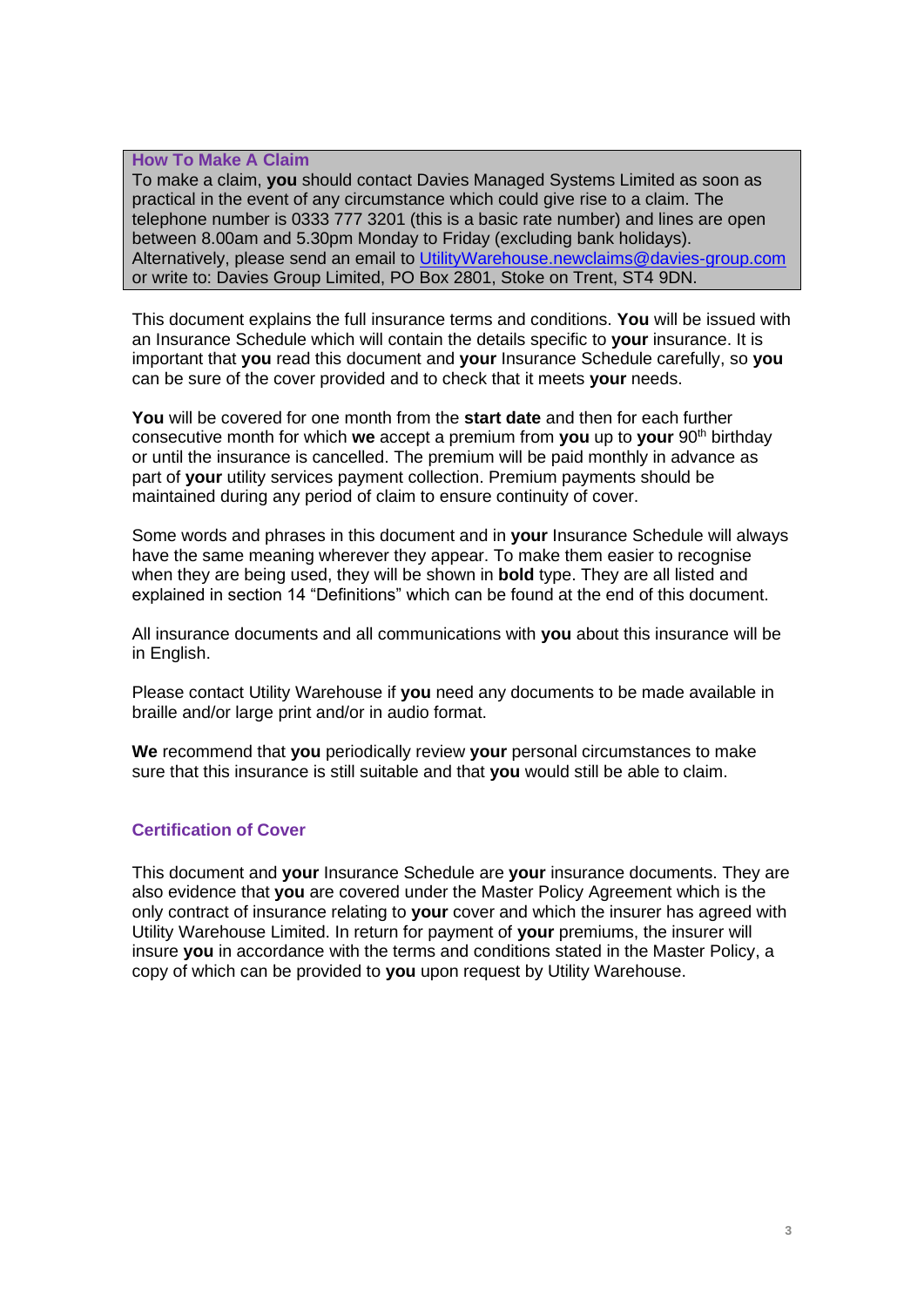### **How To Make A Claim**

To make a claim, **you** should contact Davies Managed Systems Limited as soon as practical in the event of any circumstance which could give rise to a claim. The telephone number is 0333 777 3201 (this is a basic rate number) and lines are open between 8.00am and 5.30pm Monday to Friday (excluding bank holidays). Alternatively, please send an email to [UtilityWarehouse.newclaims@davies-group.com](mailto:UtilityWarehouse.newclaims@davies-group.com) or write to: Davies Group Limited, PO Box 2801, Stoke on Trent, ST4 9DN.

This document explains the full insurance terms and conditions. **You** will be issued with an Insurance Schedule which will contain the details specific to **your** insurance. It is important that **you** read this document and **your** Insurance Schedule carefully, so **you**  can be sure of the cover provided and to check that it meets **your** needs.

**You** will be covered for one month from the **start date** and then for each further consecutive month for which **we** accept a premium from **you** up to **your** 90th birthday or until the insurance is cancelled. The premium will be paid monthly in advance as part of **your** utility services payment collection. Premium payments should be maintained during any period of claim to ensure continuity of cover.

Some words and phrases in this document and in **your** Insurance Schedule will always have the same meaning wherever they appear. To make them easier to recognise when they are being used, they will be shown in **bold** type. They are all listed and explained in section 14 "Definitions" which can be found at the end of this document.

All insurance documents and all communications with **you** about this insurance will be in English.

Please contact Utility Warehouse if **you** need any documents to be made available in braille and/or large print and/or in audio format.

**We** recommend that **you** periodically review **your** personal circumstances to make sure that this insurance is still suitable and that **you** would still be able to claim.

# **Certification of Cover**

This document and **your** Insurance Schedule are **your** insurance documents. They are also evidence that **you** are covered under the Master Policy Agreement which is the only contract of insurance relating to **your** cover and which the insurer has agreed with Utility Warehouse Limited. In return for payment of **your** premiums, the insurer will insure **you** in accordance with the terms and conditions stated in the Master Policy, a copy of which can be provided to **you** upon request by Utility Warehouse.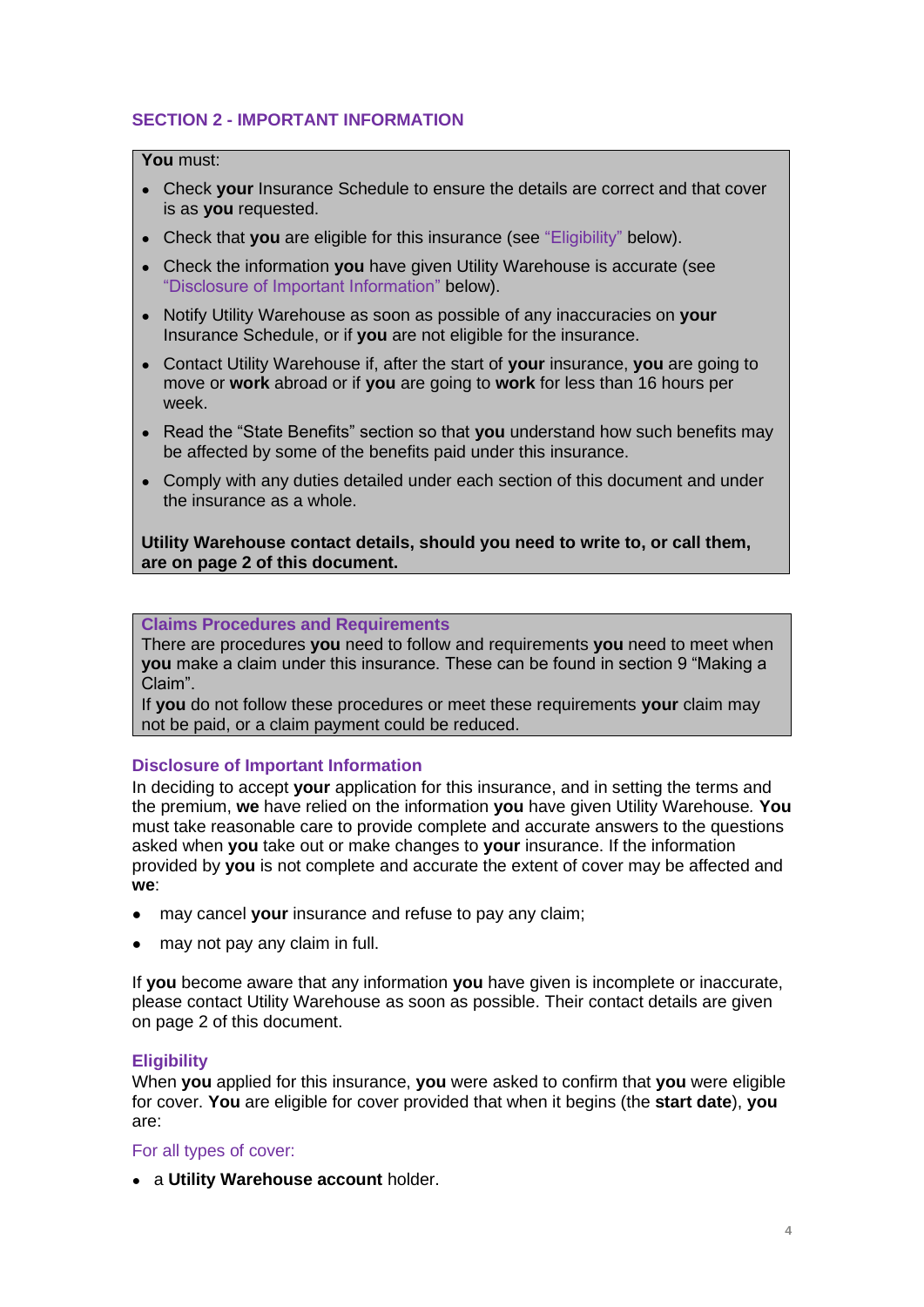# **SECTION 2 - IMPORTANT INFORMATION**

## **You** must:

- Check **your** Insurance Schedule to ensure the details are correct and that cover is as **you** requested.
- Check that **you** are eligible for this insurance (see "Eligibility" below).
- Check the information **you** have given Utility Warehouse is accurate (see "Disclosure of Important Information" below).
- Notify Utility Warehouse as soon as possible of any inaccuracies on **your**  Insurance Schedule, or if **you** are not eligible for the insurance.
- Contact Utility Warehouse if, after the start of **your** insurance, **you** are going to move or **work** abroad or if **you** are going to **work** for less than 16 hours per week.
- Read the "State Benefits" section so that **you** understand how such benefits may be affected by some of the benefits paid under this insurance.
- Comply with any duties detailed under each section of this document and under the insurance as a whole.

**Utility Warehouse contact details, should you need to write to, or call them, are on page 2 of this document.** 

**Claims Procedures and Requirements**

There are procedures **you** need to follow and requirements **you** need to meet when **you** make a claim under this insurance. These can be found in section 9 "Making a Claim".

If **you** do not follow these procedures or meet these requirements **your** claim may not be paid, or a claim payment could be reduced.

## **Disclosure of Important Information**

In deciding to accept **your** application for this insurance, and in setting the terms and the premium, **we** have relied on the information **you** have given Utility Warehouse*.* **You**  must take reasonable care to provide complete and accurate answers to the questions asked when **you** take out or make changes to **your** insurance. If the information provided by **you** is not complete and accurate the extent of cover may be affected and **we**:

- may cancel **your** insurance and refuse to pay any claim;
- may not pay any claim in full.

If **you** become aware that any information **you** have given is incomplete or inaccurate, please contact Utility Warehouse as soon as possible. Their contact details are given on page 2 of this document.

## **Eligibility**

When **you** applied for this insurance, **you** were asked to confirm that **you** were eligible for cover. **You** are eligible for cover provided that when it begins (the **start date**), **you** are:

### For all types of cover:

● a **Utility Warehouse account** holder.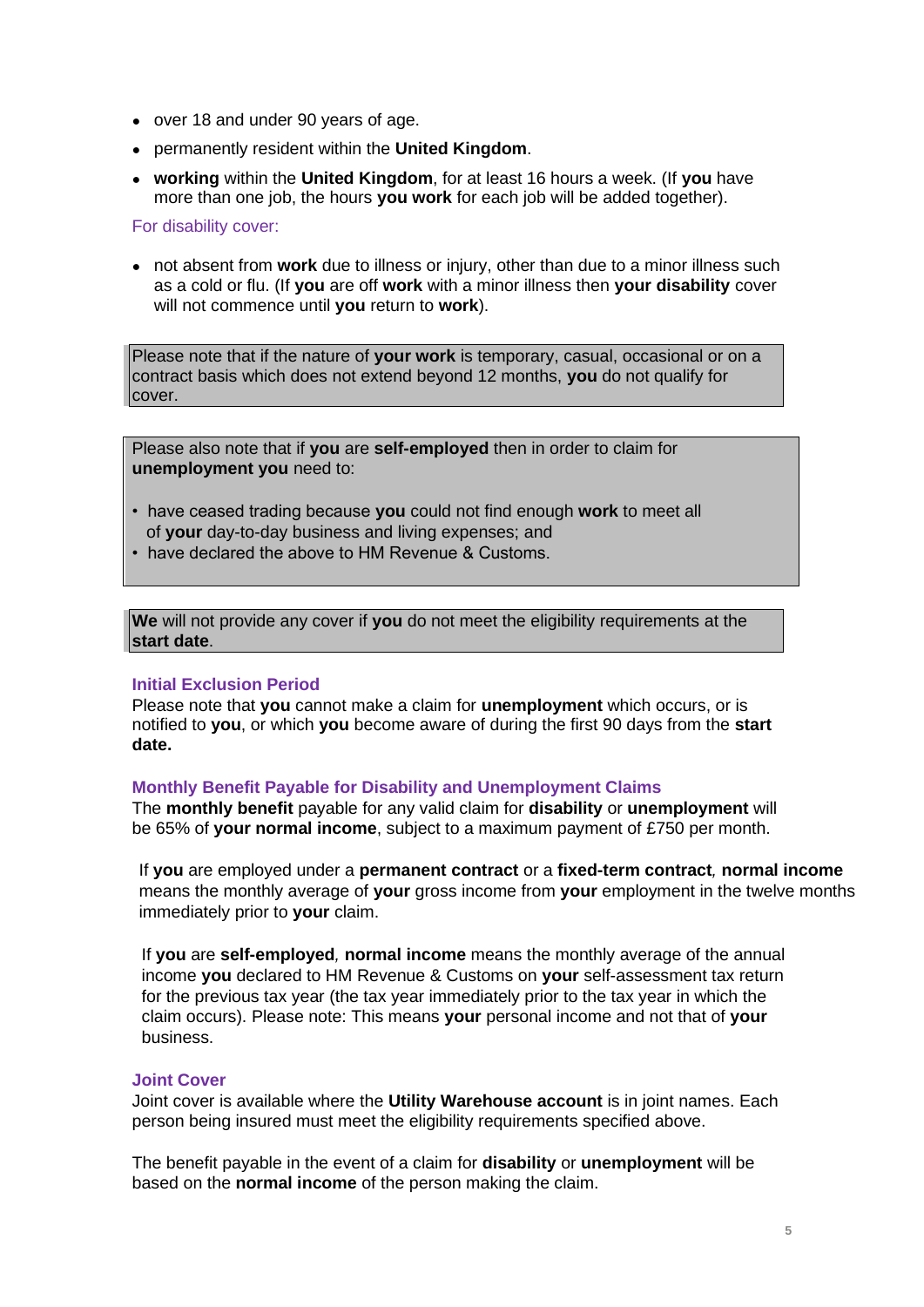- over 18 and under 90 years of age.
- permanently resident within the **United Kingdom**.
- **working** within the **United Kingdom**, for at least 16 hours a week. (If **you** have more than one job, the hours **you work** for each job will be added together).

### For disability cover:

• not absent from **work** due to illness or injury, other than due to a minor illness such as a cold or flu. (If **you** are off **work** with a minor illness then **your disability** cover will not commence until **you** return to **work**).

Please note that if the nature of **your work** is temporary, casual, occasional or on a contract basis which does not extend beyond 12 months, **you** do not qualify for cover.

Please also note that if **you** are **self-employed** then in order to claim for **unemployment you** need to:

- have ceased trading because **you** could not find enough **work** to meet all of **your** day-to-day business and living expenses; and
- have declared the above to HM Revenue & Customs.

**We** will not provide any cover if **you** do not meet the eligibility requirements at the **start date**.

### **Initial Exclusion Period**

Please note that **you** cannot make a claim for **unemployment** which occurs, or is notified to **you**, or which **you** become aware of during the first 90 days from the **start date.**

### **Monthly Benefit Payable for Disability and Unemployment Claims**

The **monthly benefit** payable for any valid claim for **disability** or **unemployment** will be 65% of **your normal income**, subject to a maximum payment of £750 per month.

If **you** are employed under a **permanent contract** or a **fixed-term contract***,* **normal income** means the monthly average of **your** gross income from **your** employment in the twelve months immediately prior to **your** claim.

 If **you** are **self-employed***,* **normal income** means the monthly average of the annual income **you** declared to HM Revenue & Customs on **your** self-assessment tax return for the previous tax year (the tax year immediately prior to the tax year in which the claim occurs). Please note: This means **your** personal income and not that of **your** business.

## **Joint Cover**

Joint cover is available where the **Utility Warehouse account** is in joint names. Each person being insured must meet the eligibility requirements specified above.

The benefit payable in the event of a claim for **disability** or **unemployment** will be based on the **normal income** of the person making the claim.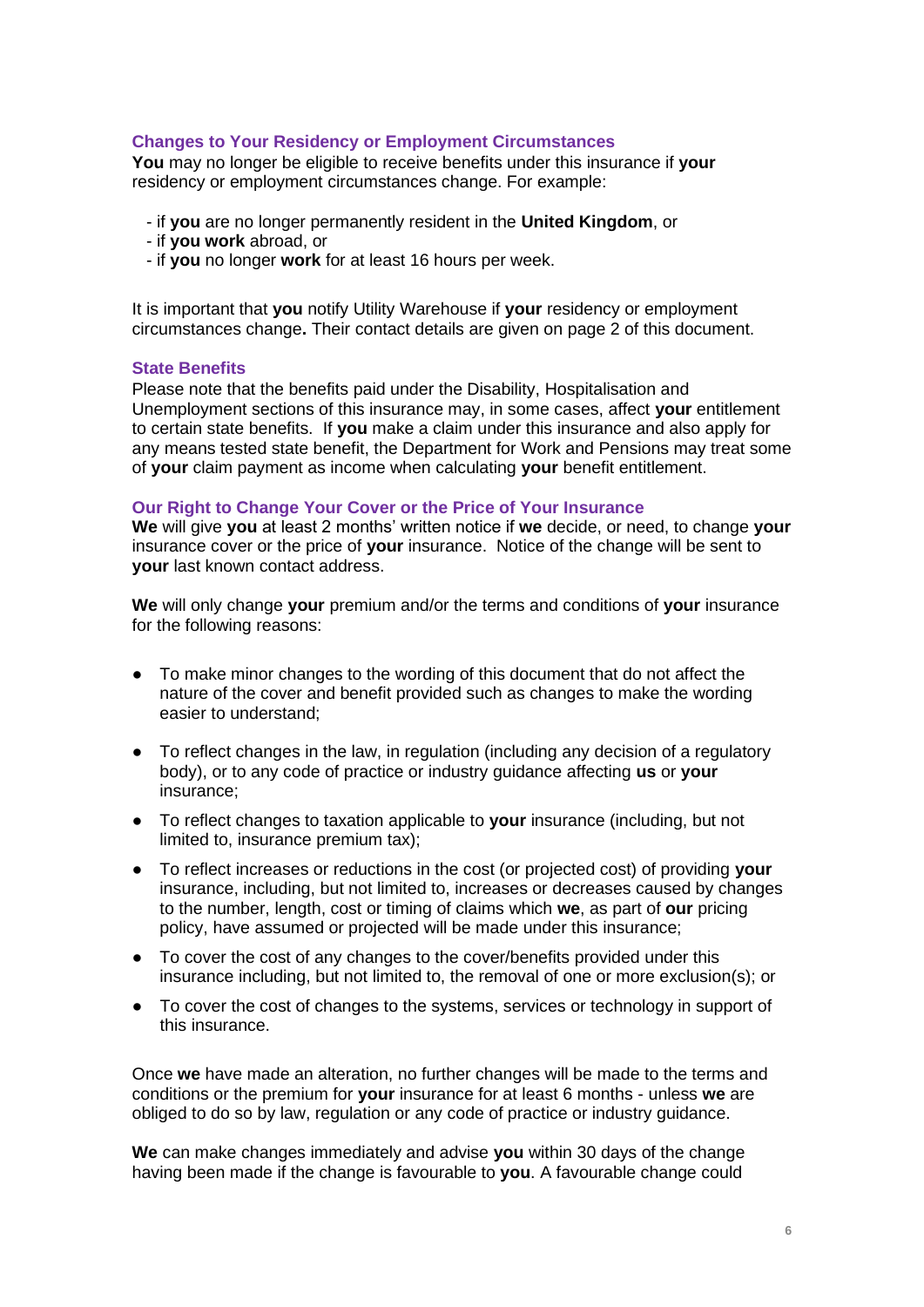## **Changes to Your Residency or Employment Circumstances**

**You** may no longer be eligible to receive benefits under this insurance if **your**  residency or employment circumstances change. For example:

- if **you** are no longer permanently resident in the **United Kingdom**, or
- if **you work** abroad, or
- if **you** no longer **work** for at least 16 hours per week.

It is important that **you** notify Utility Warehouse if **your** residency or employment circumstances change**.** Their contact details are given on page 2 of this document.

### **State Benefits**

Please note that the benefits paid under the Disability, Hospitalisation and Unemployment sections of this insurance may, in some cases, affect **your** entitlement to certain state benefits. If **you** make a claim under this insurance and also apply for any means tested state benefit, the Department for Work and Pensions may treat some of **your** claim payment as income when calculating **your** benefit entitlement.

### **Our Right to Change Your Cover or the Price of Your Insurance**

**We** will give **you** at least 2 months' written notice if **we** decide, or need, to change **your** insurance cover or the price of **your** insurance. Notice of the change will be sent to **your** last known contact address.

**We** will only change **your** premium and/or the terms and conditions of **your** insurance for the following reasons:

- To make minor changes to the wording of this document that do not affect the nature of the cover and benefit provided such as changes to make the wording easier to understand;
- To reflect changes in the law, in regulation (including any decision of a regulatory body), or to any code of practice or industry guidance affecting **us** or **your** insurance;
- To reflect changes to taxation applicable to **your** insurance (including, but not limited to, insurance premium tax);
- To reflect increases or reductions in the cost (or projected cost) of providing **your** insurance, including, but not limited to, increases or decreases caused by changes to the number, length, cost or timing of claims which **we**, as part of **our** pricing policy, have assumed or projected will be made under this insurance;
- To cover the cost of any changes to the cover/benefits provided under this insurance including, but not limited to, the removal of one or more exclusion(s); or
- To cover the cost of changes to the systems, services or technology in support of this insurance.

Once **we** have made an alteration, no further changes will be made to the terms and conditions or the premium for **your** insurance for at least 6 months - unless **we** are obliged to do so by law, regulation or any code of practice or industry guidance.

**We** can make changes immediately and advise **you** within 30 days of the change having been made if the change is favourable to **you**. A favourable change could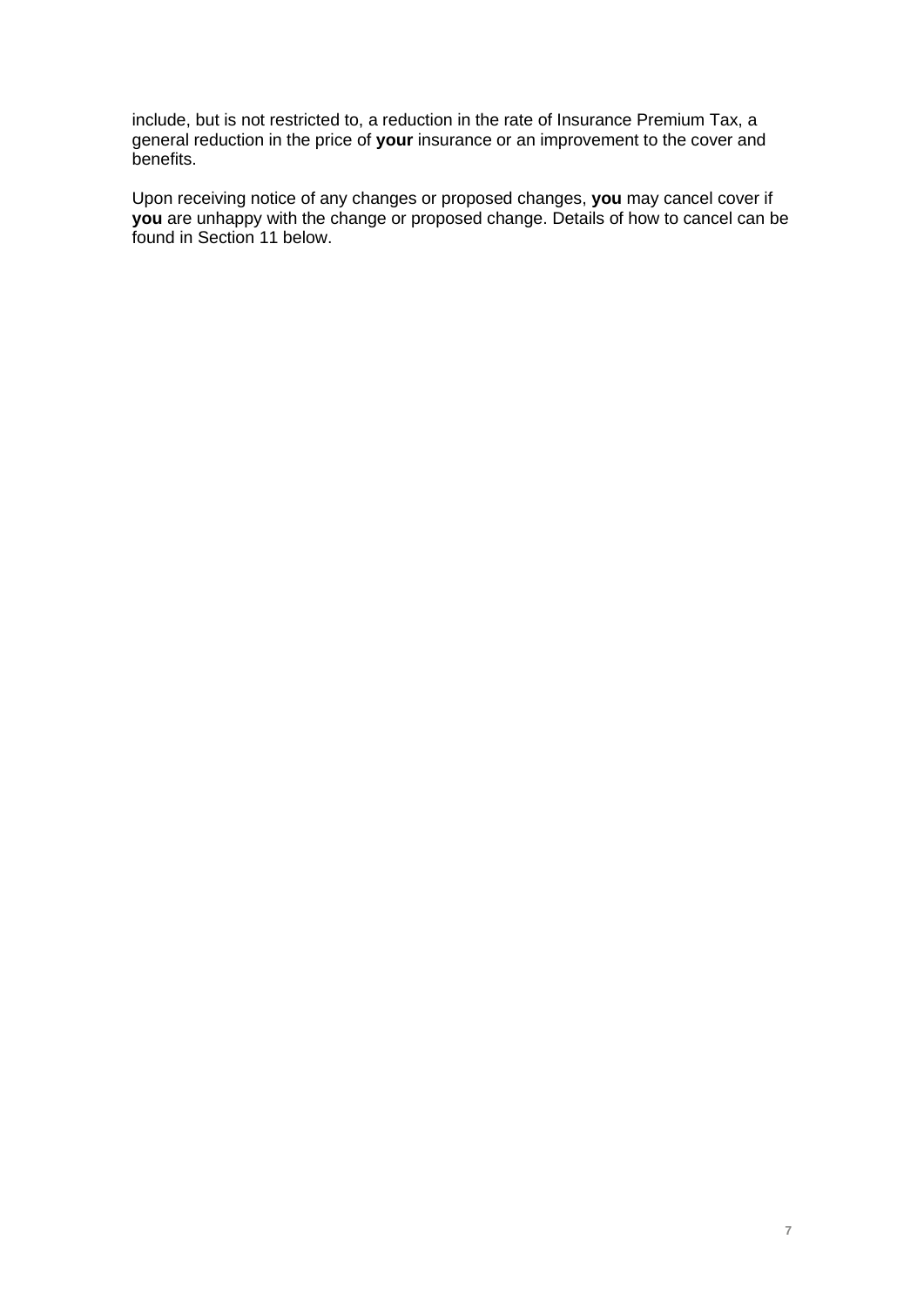include, but is not restricted to, a reduction in the rate of Insurance Premium Tax, a general reduction in the price of **your** insurance or an improvement to the cover and benefits.

Upon receiving notice of any changes or proposed changes, **you** may cancel cover if **you** are unhappy with the change or proposed change. Details of how to cancel can be found in Section 11 below.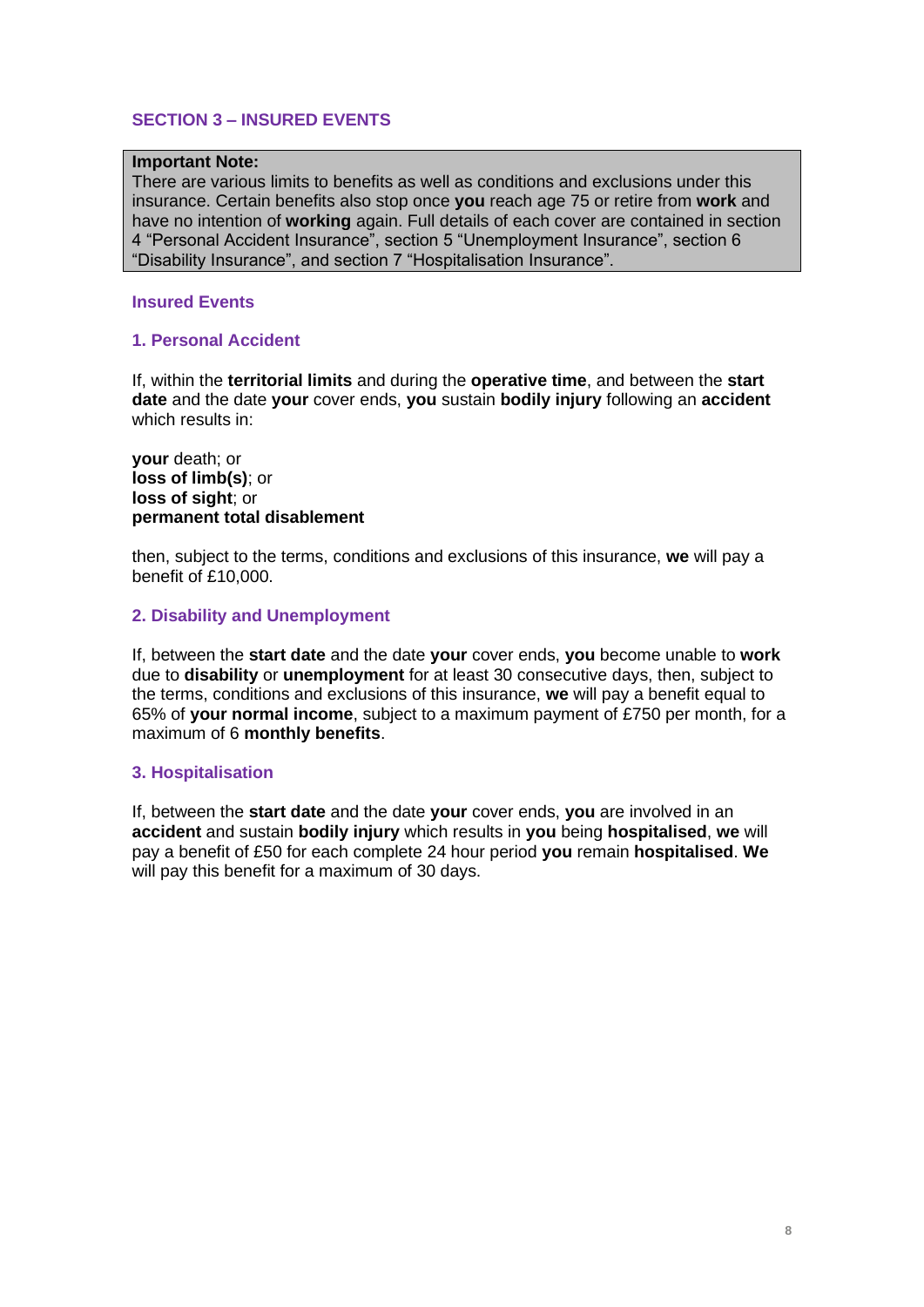# **SECTION 3 – INSURED EVENTS**

#### **Important Note:**

There are various limits to benefits as well as conditions and exclusions under this insurance. Certain benefits also stop once **you** reach age 75 or retire from **work** and have no intention of **working** again. Full details of each cover are contained in section 4 "Personal Accident Insurance", section 5 "Unemployment Insurance", section 6 "Disability Insurance", and section 7 "Hospitalisation Insurance".

#### **Insured Events**

### **1. Personal Accident**

If, within the **territorial limits** and during the **operative time**, and between the **start date** and the date **your** cover ends, **you** sustain **bodily injury** following an **accident**  which results in:

**your** death; or **loss of limb(s)**; or **loss of sight**; or **permanent total disablement**

then, subject to the terms, conditions and exclusions of this insurance, **we** will pay a benefit of £10,000.

### **2. Disability and Unemployment**

If, between the **start date** and the date **your** cover ends, **you** become unable to **work** due to **disability** or **unemployment** for at least 30 consecutive days, then, subject to the terms, conditions and exclusions of this insurance, **we** will pay a benefit equal to 65% of **your normal income**, subject to a maximum payment of £750 per month, for a maximum of 6 **monthly benefits**.

### **3. Hospitalisation**

If, between the **start date** and the date **your** cover ends, **you** are involved in an **accident** and sustain **bodily injury** which results in **you** being **hospitalised**, **we** will pay a benefit of £50 for each complete 24 hour period **you** remain **hospitalised**. **We** will pay this benefit for a maximum of 30 days.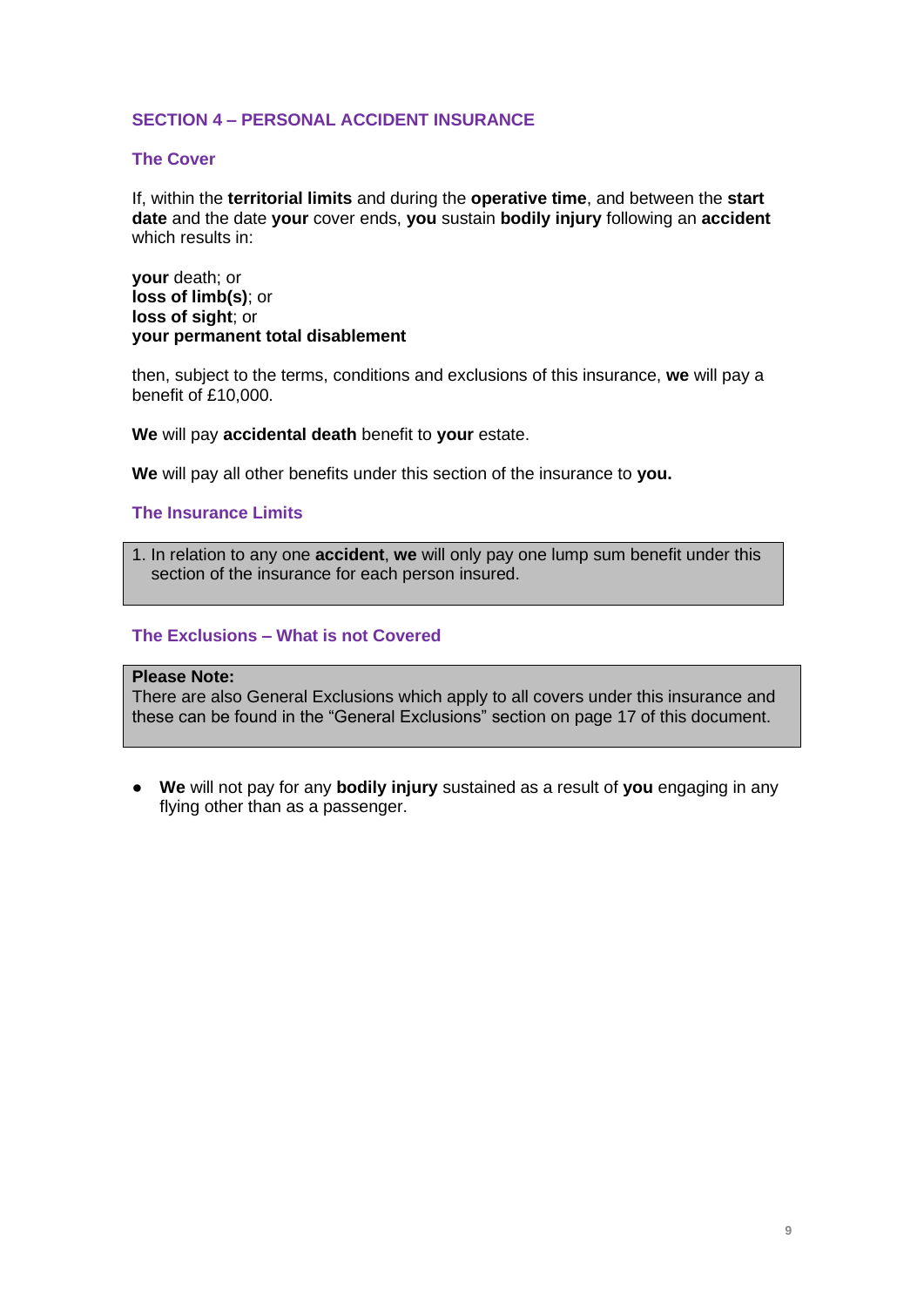# **SECTION 4 – PERSONAL ACCIDENT INSURANCE**

## **The Cover**

If, within the **territorial limits** and during the **operative time**, and between the **start date** and the date **your** cover ends, **you** sustain **bodily injury** following an **accident**  which results in:

**your** death; or **loss of limb(s)**; or **loss of sight**; or **your permanent total disablement**

then, subject to the terms, conditions and exclusions of this insurance, **we** will pay a benefit of £10,000.

**We** will pay **accidental death** benefit to **your** estate.

**We** will pay all other benefits under this section of the insurance to **you.** 

**The Insurance Limits**

1. In relation to any one **accident**, **we** will only pay one lump sum benefit under this section of the insurance for each person insured.

## **The Exclusions – What is not Covered**

## **Please Note:**

There are also General Exclusions which apply to all covers under this insurance and these can be found in the "General Exclusions" section on page 17 of this document.

● **We** will not pay for any **bodily injury** sustained as a result of **you** engaging in any flying other than as a passenger.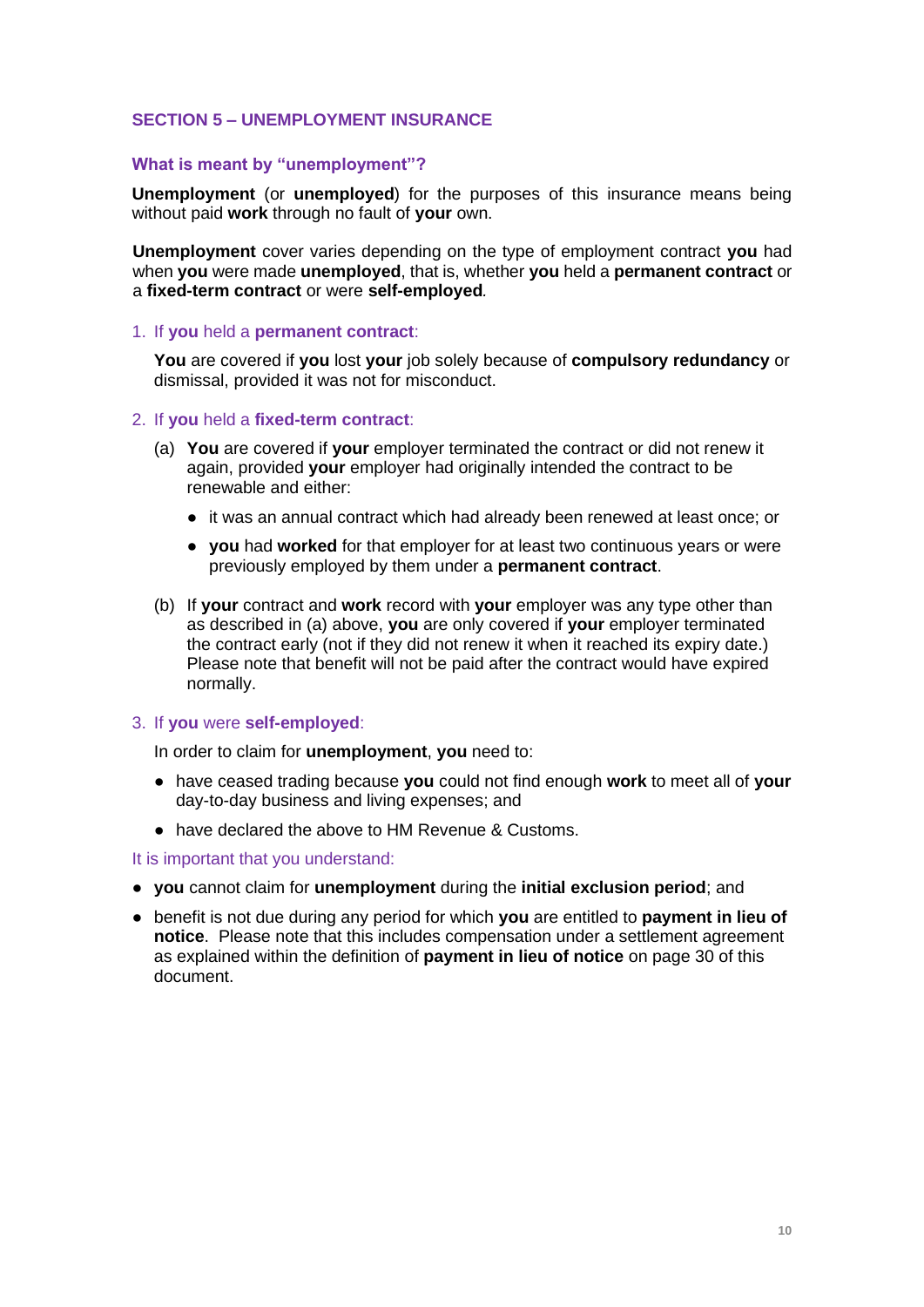## **SECTION 5 – UNEMPLOYMENT INSURANCE**

### **What is meant by "unemployment"?**

**Unemployment** (or **unemployed**) for the purposes of this insurance means being without paid **work** through no fault of **your** own.

**Unemployment** cover varies depending on the type of employment contract **you** had when **you** were made **unemployed**, that is, whether **you** held a **permanent contract** or a **fixed-term contract** or were **self-employed***.* 

#### 1. If **you** held a **permanent contract**:

**You** are covered if **you** lost **your** job solely because of **compulsory redundancy** or dismissal, provided it was not for misconduct.

#### 2. If **you** held a **fixed-term contract**:

- (a) **You** are covered if **your** employer terminated the contract or did not renew it again, provided **your** employer had originally intended the contract to be renewable and either:
	- it was an annual contract which had already been renewed at least once; or
	- **you** had **worked** for that employer for at least two continuous years or were previously employed by them under a **permanent contract**.
- (b) If **your** contract and **work** record with **your** employer was any type other than as described in (a) above, **you** are only covered if **your** employer terminated the contract early (not if they did not renew it when it reached its expiry date.) Please note that benefit will not be paid after the contract would have expired normally.

#### 3. If **you** were **self-employed**:

In order to claim for **unemployment**, **you** need to:

- have ceased trading because **you** could not find enough **work** to meet all of **your**  day-to-day business and living expenses; and
- have declared the above to HM Revenue & Customs.

It is important that you understand:

- **you** cannot claim for **unemployment** during the **initial exclusion period**; and
- benefit is not due during any period for which **you** are entitled to **payment in lieu of notice**. Please note that this includes compensation under a settlement agreement as explained within the definition of **payment in lieu of notice** on page 30 of this document.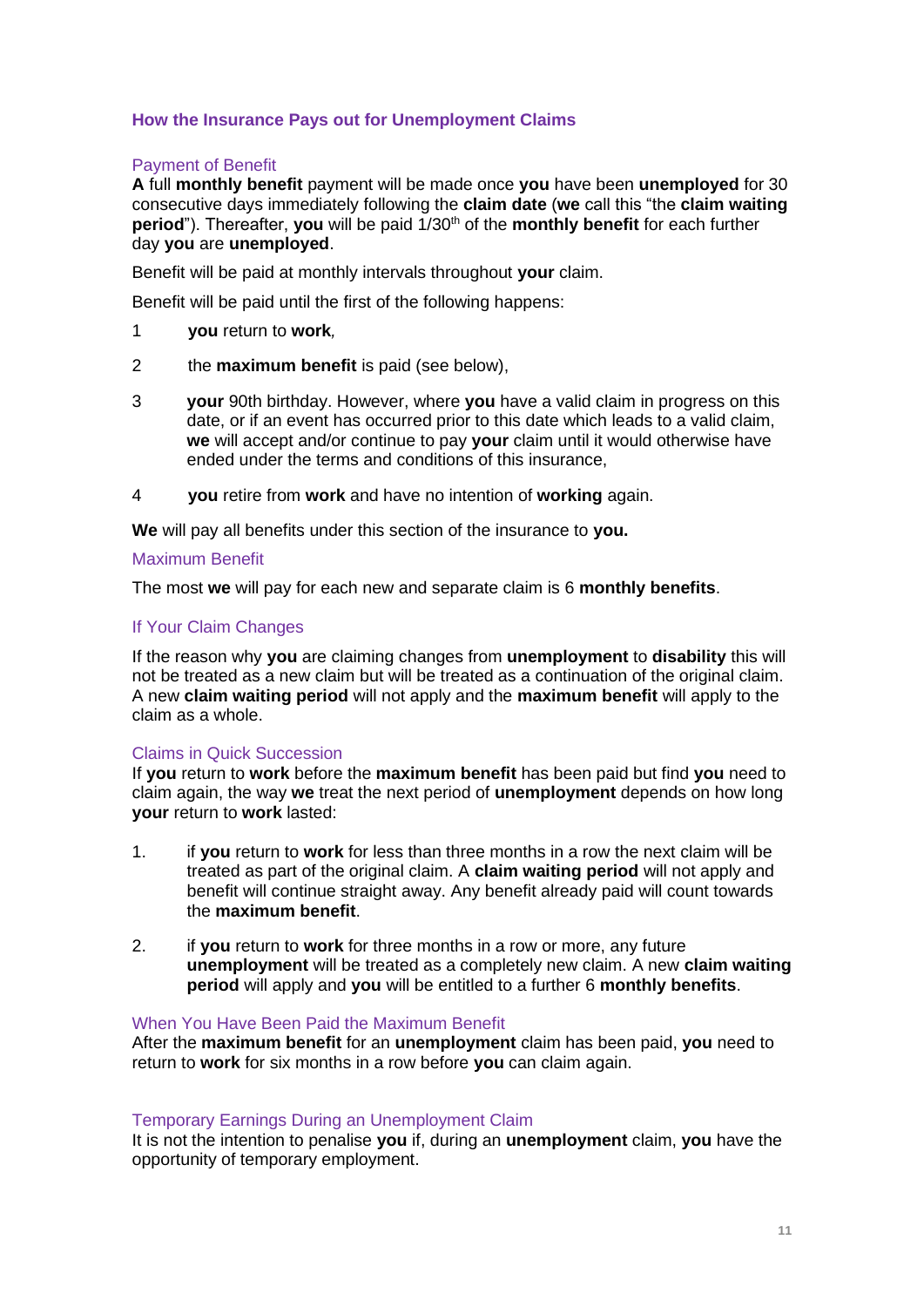# **How the Insurance Pays out for Unemployment Claims**

## Payment of Benefit

**A** full **monthly benefit** payment will be made once **you** have been **unemployed** for 30 consecutive days immediately following the **claim date** (**we** call this "the **claim waiting period**"). Thereafter, **you** will be paid  $1/30<sup>th</sup>$  of the **monthly benefit** for each further day **you** are **unemployed**.

Benefit will be paid at monthly intervals throughout **your** claim.

Benefit will be paid until the first of the following happens:

- 1 **you** return to **work***,*
- 2 the **maximum benefit** is paid (see below),
- 3 **your** 90th birthday. However, where **you** have a valid claim in progress on this date, or if an event has occurred prior to this date which leads to a valid claim, **we** will accept and/or continue to pay **your** claim until it would otherwise have ended under the terms and conditions of this insurance,
- 4 **you** retire from **work** and have no intention of **working** again.

**We** will pay all benefits under this section of the insurance to **you.**

### Maximum Benefit

The most **we** will pay for each new and separate claim is 6 **monthly benefits**.

## If Your Claim Changes

If the reason why **you** are claiming changes from **unemployment** to **disability** this will not be treated as a new claim but will be treated as a continuation of the original claim. A new **claim waiting period** will not apply and the **maximum benefit** will apply to the claim as a whole.

### Claims in Quick Succession

If **you** return to **work** before the **maximum benefit** has been paid but find **you** need to claim again, the way **we** treat the next period of **unemployment** depends on how long **your** return to **work** lasted:

- 1. if **you** return to **work** for less than three months in a row the next claim will be treated as part of the original claim. A **claim waiting period** will not apply and benefit will continue straight away. Any benefit already paid will count towards the **maximum benefit**.
- 2. if **you** return to **work** for three months in a row or more, any future **unemployment** will be treated as a completely new claim. A new **claim waiting period** will apply and **you** will be entitled to a further 6 **monthly benefits**.

### When You Have Been Paid the Maximum Benefit

After the **maximum benefit** for an **unemployment** claim has been paid, **you** need to return to **work** for six months in a row before **you** can claim again.

### Temporary Earnings During an Unemployment Claim

It is not the intention to penalise **you** if, during an **unemployment** claim, **you** have the opportunity of temporary employment.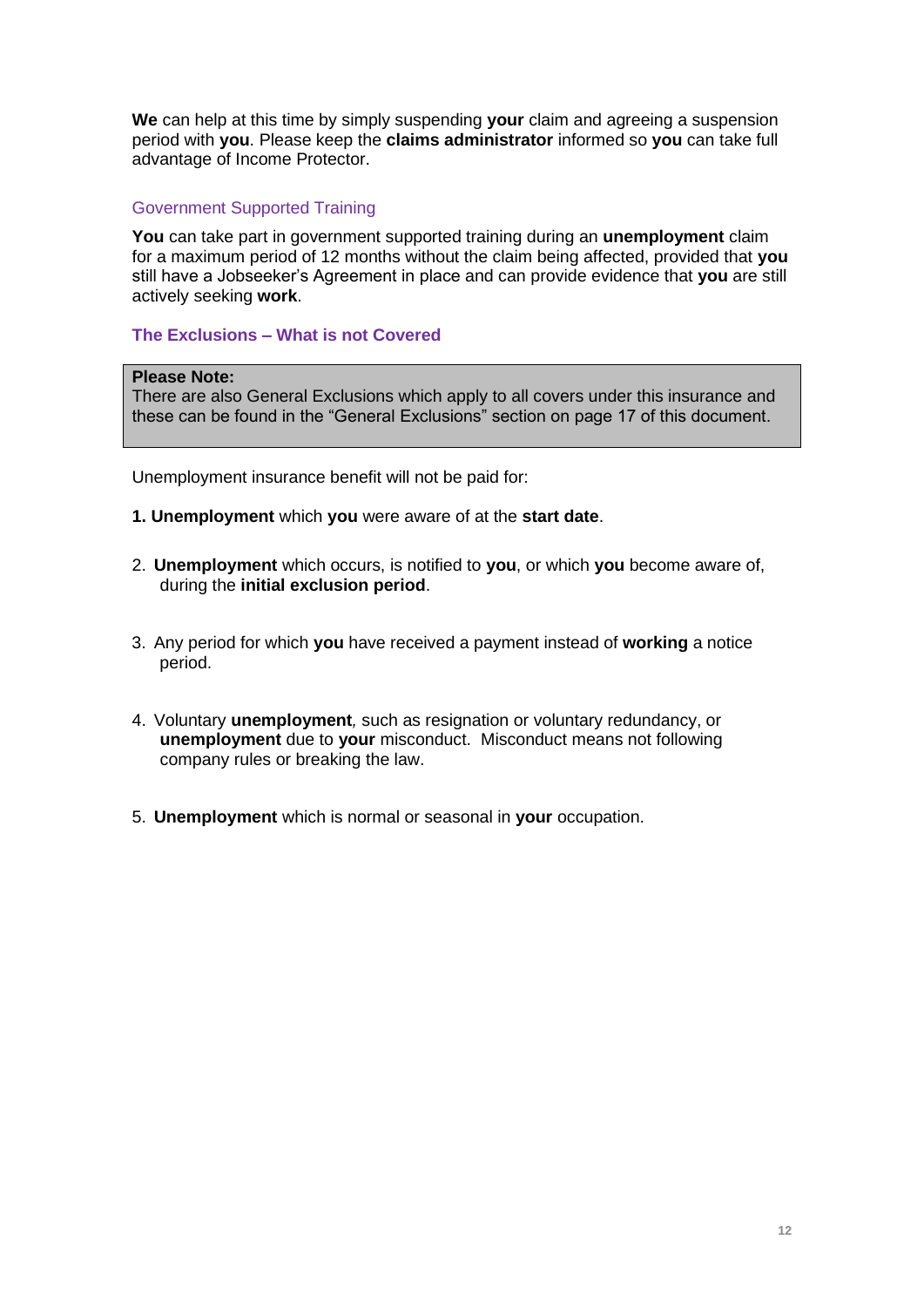**We** can help at this time by simply suspending **your** claim and agreeing a suspension period with **you**. Please keep the **claims administrator** informed so **you** can take full advantage of Income Protector.

# Government Supported Training

**You** can take part in government supported training during an **unemployment** claim for a maximum period of 12 months without the claim being affected, provided that **you** still have a Jobseeker's Agreement in place and can provide evidence that **you** are still actively seeking **work**.

**The Exclusions – What is not Covered** 

## **Please Note:**

There are also General Exclusions which apply to all covers under this insurance and these can be found in the "General Exclusions" section on page 17 of this document.

Unemployment insurance benefit will not be paid for:

- **1. Unemployment** which **you** were aware of at the **start date**.
- 2. **Unemployment** which occurs, is notified to **you**, or which **you** become aware of, during the **initial exclusion period**.
- 3. Any period for which **you** have received a payment instead of **working** a notice period.
- 4. Voluntary **unemployment***,* such as resignation or voluntary redundancy, or **unemployment** due to **your** misconduct. Misconduct means not following company rules or breaking the law.
- 5. **Unemployment** which is normal or seasonal in **your** occupation.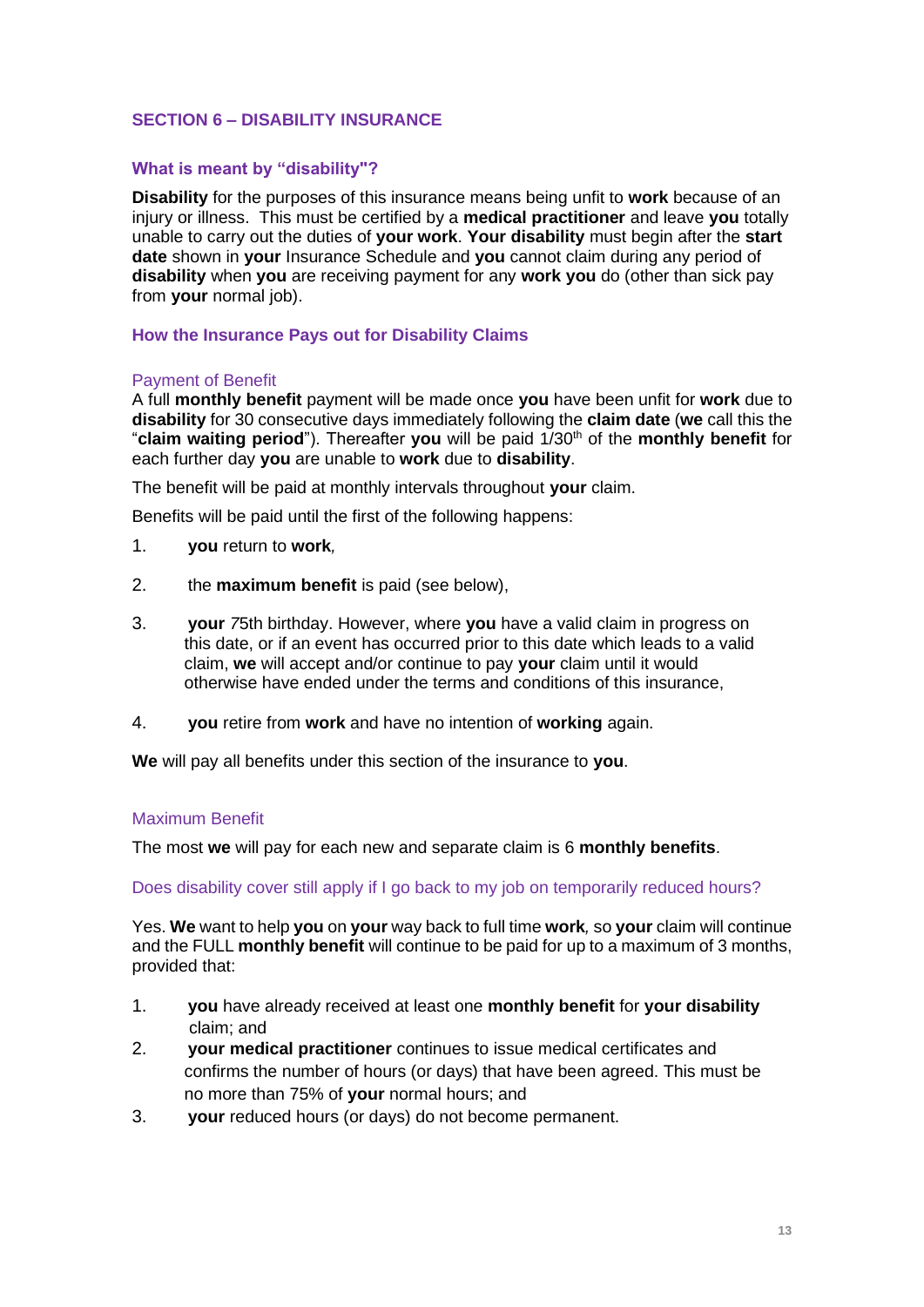# **SECTION 6 – DISABILITY INSURANCE**

## **What is meant by "disability"?**

**Disability** for the purposes of this insurance means being unfit to **work** because of an injury or illness. This must be certified by a **medical practitioner** and leave **you** totally unable to carry out the duties of **your work**. **Your disability** must begin after the **start date** shown in **your** Insurance Schedule and **you** cannot claim during any period of **disability** when **you** are receiving payment for any **work you** do (other than sick pay from **your** normal job).

## **How the Insurance Pays out for Disability Claims**

## Payment of Benefit

A full **monthly benefit** payment will be made once **you** have been unfit for **work** due to **disability** for 30 consecutive days immediately following the **claim date** (**we** call this the "**claim waiting period**"). Thereafter **you** will be paid 1/30th of the **monthly benefit** for each further day **you** are unable to **work** due to **disability**.

The benefit will be paid at monthly intervals throughout **your** claim.

Benefits will be paid until the first of the following happens:

- 1. **you** return to **work***,*
- 2. the **maximum benefit** is paid (see below),
- 3. **your** *7*5th birthday. However, where **you** have a valid claim in progress on this date, or if an event has occurred prior to this date which leads to a valid claim, **we** will accept and/or continue to pay **your** claim until it would otherwise have ended under the terms and conditions of this insurance,
- 4. **you** retire from **work** and have no intention of **working** again.

**We** will pay all benefits under this section of the insurance to **you**.

### Maximum Benefit

The most **we** will pay for each new and separate claim is 6 **monthly benefits**.

Does disability cover still apply if I go back to my job on temporarily reduced hours?

Yes. **We** want to help **you** on **your** way back to full time **work***,* so **your** claim will continue and the FULL **monthly benefit** will continue to be paid for up to a maximum of 3 months, provided that:

- 1. **you** have already received at least one **monthly benefit** for **your disability** claim; and
- 2. **your medical practitioner** continues to issue medical certificates and confirms the number of hours (or days) that have been agreed. This must be no more than 75% of **your** normal hours; and
- 3. **your** reduced hours (or days) do not become permanent.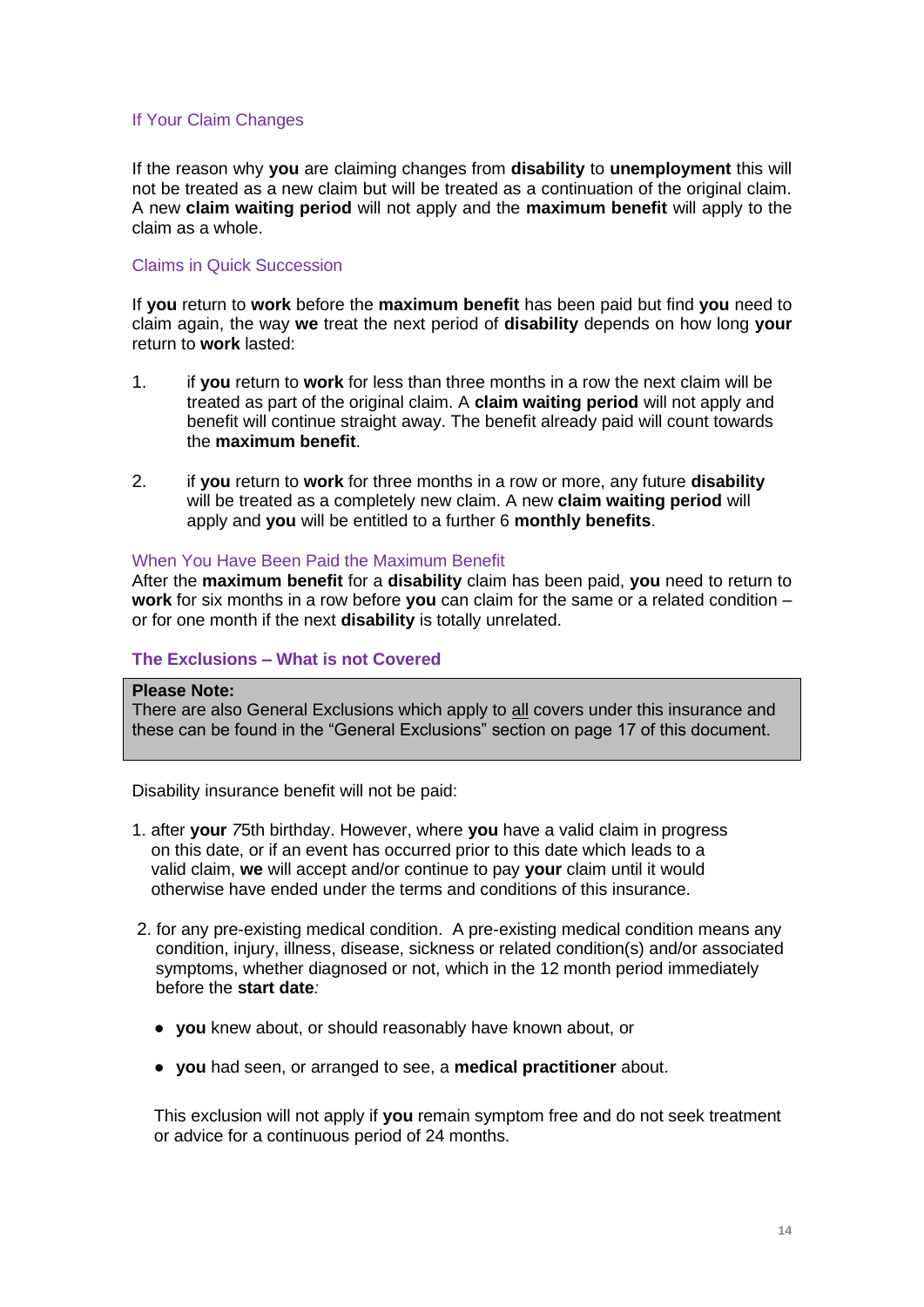# If Your Claim Changes

If the reason why **you** are claiming changes from **disability** to **unemployment** this will not be treated as a new claim but will be treated as a continuation of the original claim. A new **claim waiting period** will not apply and the **maximum benefit** will apply to the claim as a whole.

## Claims in Quick Succession

If **you** return to **work** before the **maximum benefit** has been paid but find **you** need to claim again, the way **we** treat the next period of **disability** depends on how long **your** return to **work** lasted:

- 1. if **you** return to **work** for less than three months in a row the next claim will be treated as part of the original claim. A **claim waiting period** will not apply and benefit will continue straight away. The benefit already paid will count towards the **maximum benefit**.
- 2. if **you** return to **work** for three months in a row or more, any future **disability** will be treated as a completely new claim. A new **claim waiting period** will apply and **you** will be entitled to a further 6 **monthly benefits**.

## When You Have Been Paid the Maximum Benefit

After the **maximum benefit** for a **disability** claim has been paid, **you** need to return to **work** for six months in a row before **you** can claim for the same or a related condition – or for one month if the next **disability** is totally unrelated.

# **The Exclusions – What is not Covered**

## **Please Note:**

There are also General Exclusions which apply to all covers under this insurance and these can be found in the "General Exclusions" section on page 17 of this document.

Disability insurance benefit will not be paid:

- 1. after **your** *7*5th birthday. However, where **you** have a valid claim in progress on this date, or if an event has occurred prior to this date which leads to a valid claim, **we** will accept and/or continue to pay **your** claim until it would otherwise have ended under the terms and conditions of this insurance.
- 2. for any pre-existing medical condition. A pre-existing medical condition means any condition, injury, illness, disease, sickness or related condition(s) and/or associated symptoms, whether diagnosed or not, which in the 12 month period immediately before the **start date***:*
	- **you** knew about, or should reasonably have known about, or
	- **you** had seen, or arranged to see, a **medical practitioner** about.

This exclusion will not apply if **you** remain symptom free and do not seek treatment or advice for a continuous period of 24 months.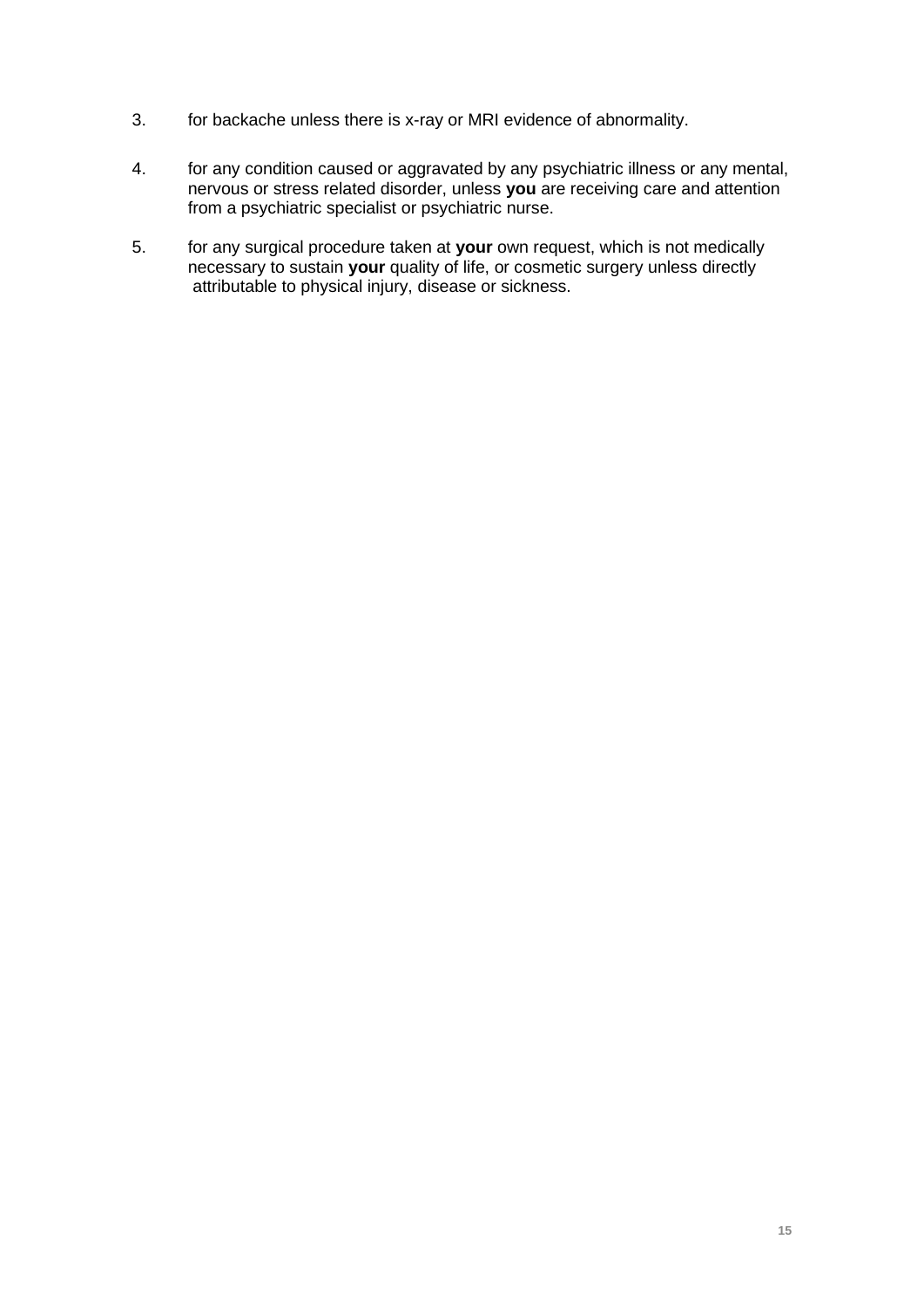- 3. for backache unless there is x-ray or MRI evidence of abnormality.
- 4. for any condition caused or aggravated by any psychiatric illness or any mental, nervous or stress related disorder, unless **you** are receiving care and attention from a psychiatric specialist or psychiatric nurse.
- 5. for any surgical procedure taken at **your** own request, which is not medically necessary to sustain **your** quality of life, or cosmetic surgery unless directly attributable to physical injury, disease or sickness.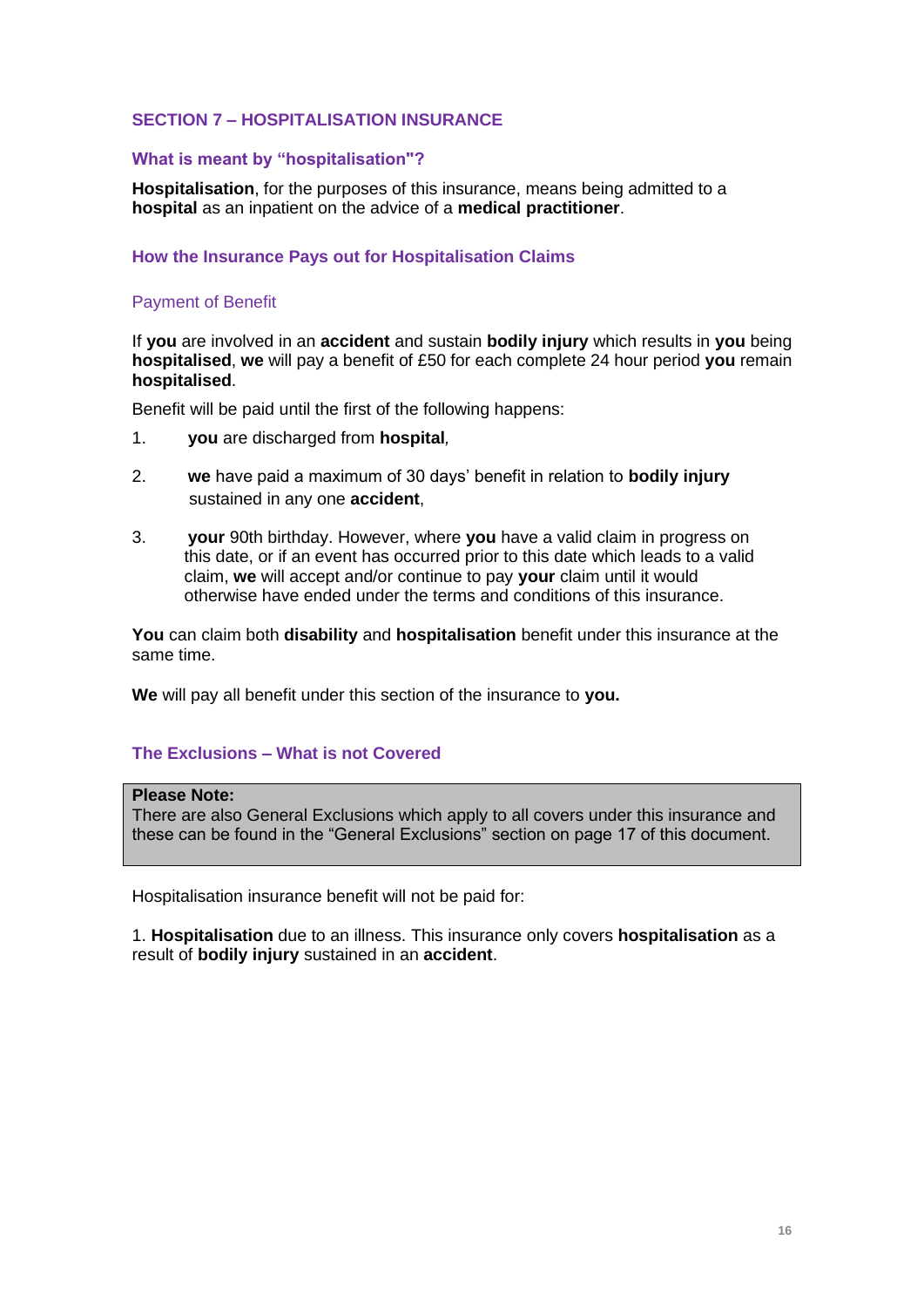# **SECTION 7 – HOSPITALISATION INSURANCE**

## **What is meant by "hospitalisation"?**

**Hospitalisation**, for the purposes of this insurance, means being admitted to a **hospital** as an inpatient on the advice of a **medical practitioner**.

## **How the Insurance Pays out for Hospitalisation Claims**

## Payment of Benefit

If **you** are involved in an **accident** and sustain **bodily injury** which results in **you** being **hospitalised**, **we** will pay a benefit of £50 for each complete 24 hour period **you** remain **hospitalised**.

Benefit will be paid until the first of the following happens:

- 1. **you** are discharged from **hospital***,*
- 2. **we** have paid a maximum of 30 days' benefit in relation to **bodily injury** sustained in any one **accident**,
- 3. **your** 90th birthday. However, where **you** have a valid claim in progress on this date, or if an event has occurred prior to this date which leads to a valid claim, **we** will accept and/or continue to pay **your** claim until it would otherwise have ended under the terms and conditions of this insurance.

**You** can claim both **disability** and **hospitalisation** benefit under this insurance at the same time.

**We** will pay all benefit under this section of the insurance to **you.**

### **The Exclusions – What is not Covered**

#### **Please Note:**

There are also General Exclusions which apply to all covers under this insurance and these can be found in the "General Exclusions" section on page 17 of this document.

Hospitalisation insurance benefit will not be paid for:

1. **Hospitalisation** due to an illness. This insurance only covers **hospitalisation** as a result of **bodily injury** sustained in an **accident**.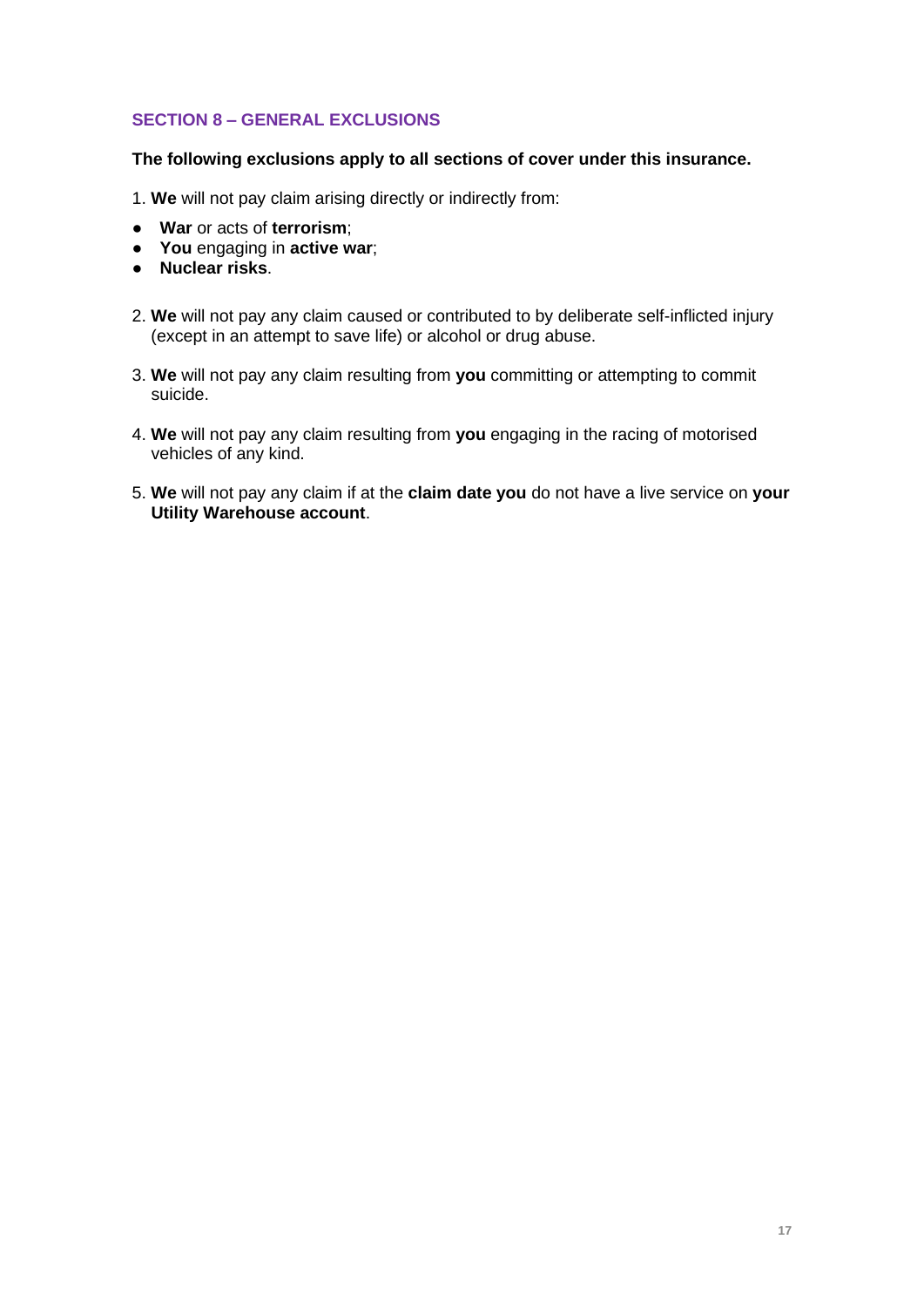# **SECTION 8 – GENERAL EXCLUSIONS**

## **The following exclusions apply to all sections of cover under this insurance.**

1. **We** will not pay claim arising directly or indirectly from:

- **War** or acts of **terrorism**;
- **You** engaging in **active war**;
- **Nuclear risks**.
- 2. **We** will not pay any claim caused or contributed to by deliberate self-inflicted injury (except in an attempt to save life) or alcohol or drug abuse.
- 3. **We** will not pay any claim resulting from **you** committing or attempting to commit suicide.
- 4. **We** will not pay any claim resulting from **you** engaging in the racing of motorised vehicles of any kind.
- 5. **We** will not pay any claim if at the **claim date you** do not have a live service on **your Utility Warehouse account**.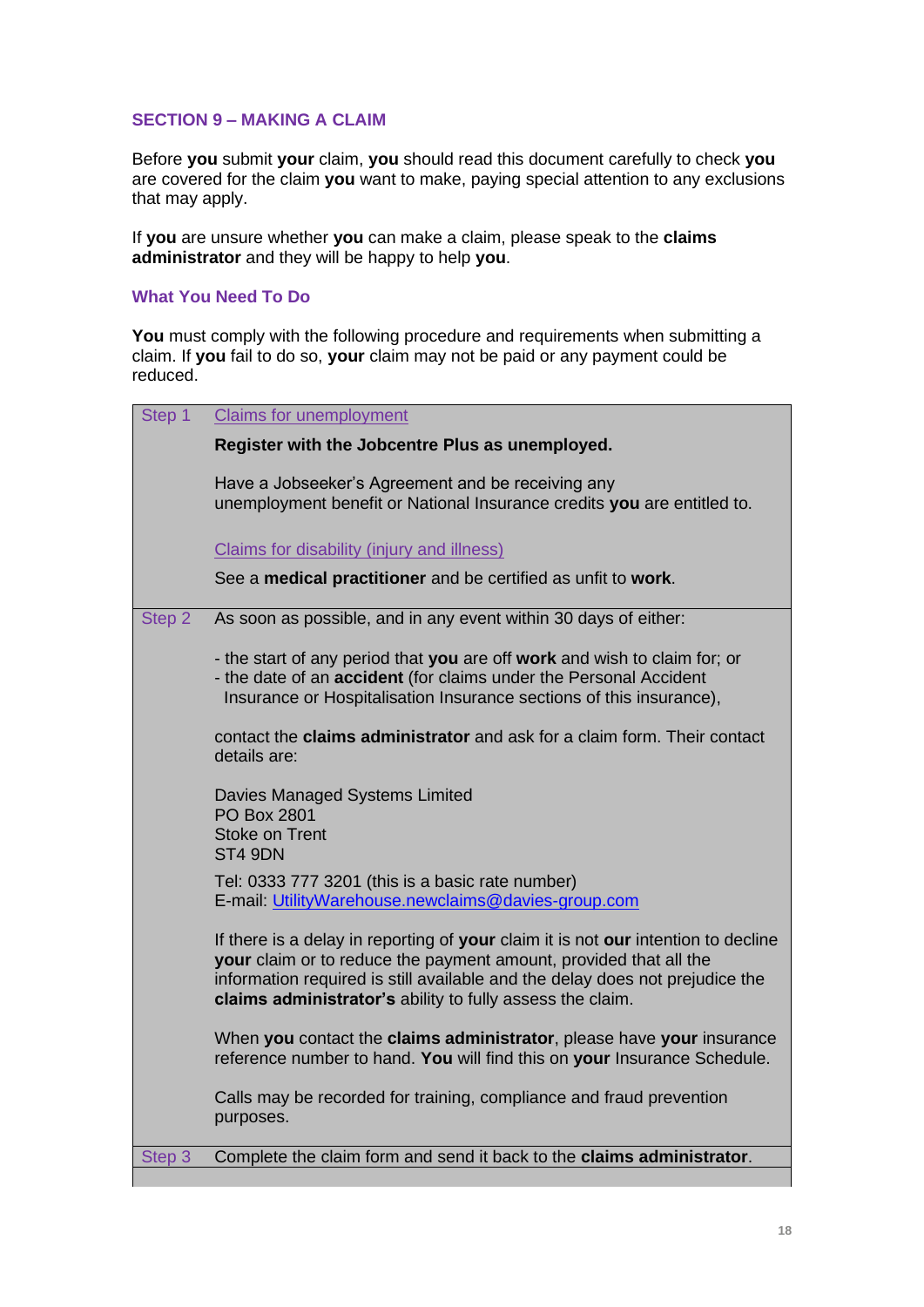## **SECTION 9 – MAKING A CLAIM**

Before **you** submit **your** claim, **you** should read this document carefully to check **you** are covered for the claim **you** want to make, paying special attention to any exclusions that may apply.

If **you** are unsure whether **you** can make a claim, please speak to the **claims administrator** and they will be happy to help **you**.

## **What You Need To Do**

**You** must comply with the following procedure and requirements when submitting a claim. If **you** fail to do so, **your** claim may not be paid or any payment could be reduced.

| Step 1 | <b>Claims for unemployment</b>                                                                                                                                                                                                                                                                      |
|--------|-----------------------------------------------------------------------------------------------------------------------------------------------------------------------------------------------------------------------------------------------------------------------------------------------------|
|        | Register with the Jobcentre Plus as unemployed.                                                                                                                                                                                                                                                     |
|        | Have a Jobseeker's Agreement and be receiving any<br>unemployment benefit or National Insurance credits you are entitled to.                                                                                                                                                                        |
|        | Claims for disability (injury and illness)                                                                                                                                                                                                                                                          |
|        | See a medical practitioner and be certified as unfit to work.                                                                                                                                                                                                                                       |
| Step 2 | As soon as possible, and in any event within 30 days of either:                                                                                                                                                                                                                                     |
|        | - the start of any period that you are off work and wish to claim for; or<br>- the date of an accident (for claims under the Personal Accident<br>Insurance or Hospitalisation Insurance sections of this insurance),                                                                               |
|        | contact the claims administrator and ask for a claim form. Their contact<br>details are:                                                                                                                                                                                                            |
|        | Davies Managed Systems Limited<br><b>PO Box 2801</b><br><b>Stoke on Trent</b><br>ST4 9DN                                                                                                                                                                                                            |
|        | Tel: 0333 777 3201 (this is a basic rate number)<br>E-mail: UtilityWarehouse.newclaims@davies-group.com                                                                                                                                                                                             |
|        | If there is a delay in reporting of your claim it is not our intention to decline<br>your claim or to reduce the payment amount, provided that all the<br>information required is still available and the delay does not prejudice the<br>claims administrator's ability to fully assess the claim. |
|        | When you contact the claims administrator, please have your insurance<br>reference number to hand. You will find this on your Insurance Schedule.                                                                                                                                                   |
|        | Calls may be recorded for training, compliance and fraud prevention<br>purposes.                                                                                                                                                                                                                    |
| Step 3 | Complete the claim form and send it back to the claims administrator.                                                                                                                                                                                                                               |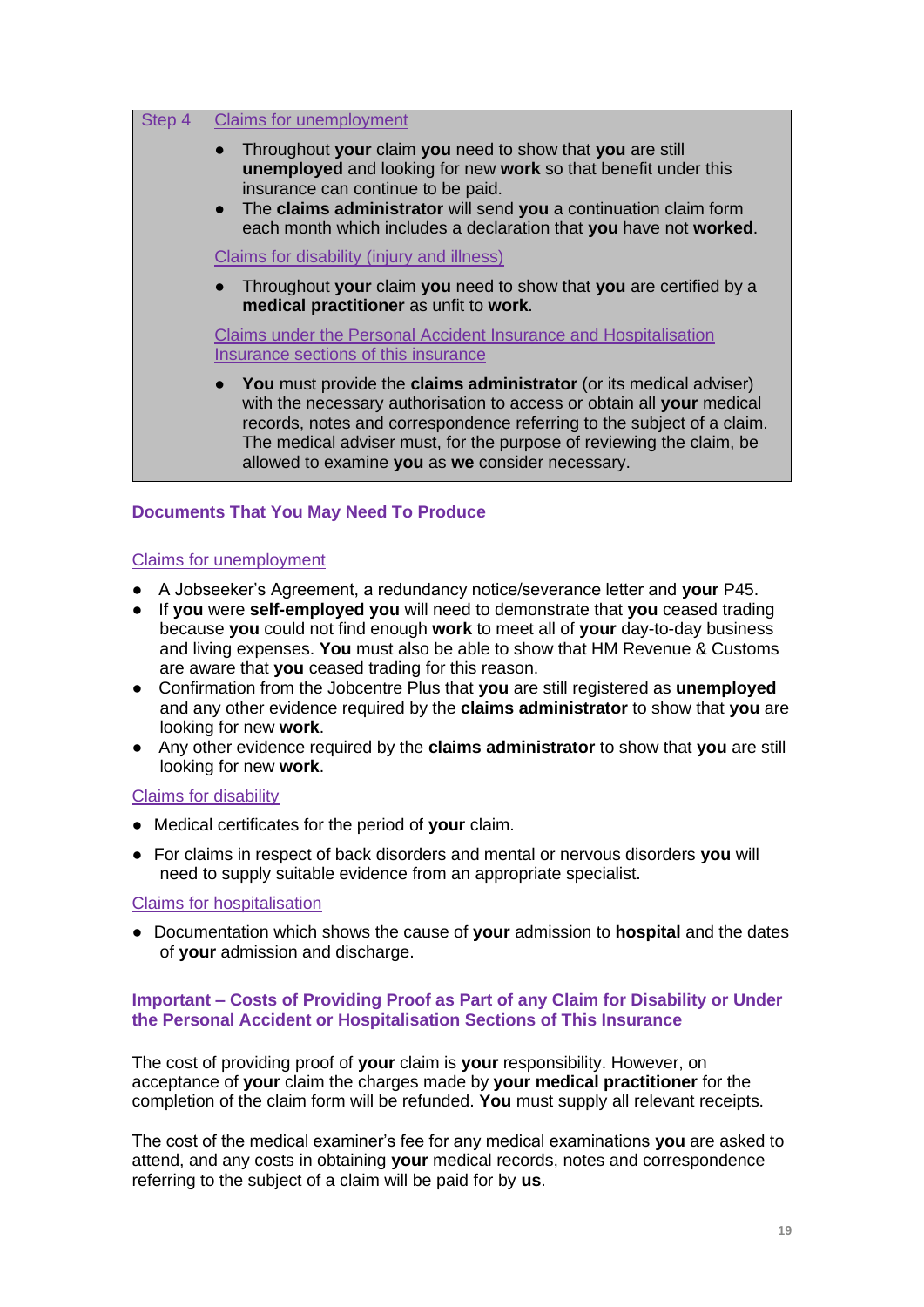| Sten 4 | <b>Claims for unemployment</b>                                                                                                                                                                                                                                                                                                                    |
|--------|---------------------------------------------------------------------------------------------------------------------------------------------------------------------------------------------------------------------------------------------------------------------------------------------------------------------------------------------------|
|        | Throughout your claim you need to show that you are still<br>unemployed and looking for new work so that benefit under this<br>insurance can continue to be paid.<br>The claims administrator will send you a continuation claim form<br>$\bullet$<br>each month which includes a declaration that you have not worked.                           |
|        | Claims for disability (injury and illness)                                                                                                                                                                                                                                                                                                        |
|        | Throughout your claim you need to show that you are certified by a<br>medical practitioner as unfit to work.                                                                                                                                                                                                                                      |
|        | <b>Claims under the Personal Accident Insurance and Hospitalisation</b><br>Insurance sections of this insurance                                                                                                                                                                                                                                   |
|        | You must provide the claims administrator (or its medical adviser)<br>with the necessary authorisation to access or obtain all your medical<br>records, notes and correspondence referring to the subject of a claim.<br>The medical adviser must, for the purpose of reviewing the claim, be<br>allowed to examine you as we consider necessary. |

# **Documents That You May Need To Produce**

## Claims for unemployment

- A Jobseeker's Agreement, a redundancy notice/severance letter and **your** P45.
- If **you** were **self-employed you** will need to demonstrate that **you** ceased trading because **you** could not find enough **work** to meet all of **your** day-to-day business and living expenses. **You** must also be able to show that HM Revenue & Customs are aware that **you** ceased trading for this reason.
- Confirmation from the Jobcentre Plus that **you** are still registered as **unemployed**  and any other evidence required by the **claims administrator** to show that **you** are looking for new **work**.
- Any other evidence required by the **claims administrator** to show that **you** are still looking for new **work**.

### Claims for disability

- Medical certificates for the period of **your** claim.
- For claims in respect of back disorders and mental or nervous disorders **you** will need to supply suitable evidence from an appropriate specialist.

### Claims for hospitalisation

● Documentation which shows the cause of **your** admission to **hospital** and the dates of **your** admission and discharge.

## **Important – Costs of Providing Proof as Part of any Claim for Disability or Under the Personal Accident or Hospitalisation Sections of This Insurance**

The cost of providing proof of **your** claim is **your** responsibility. However, on acceptance of **your** claim the charges made by **your medical practitioner** for the completion of the claim form will be refunded. **You** must supply all relevant receipts.

The cost of the medical examiner's fee for any medical examinations **you** are asked to attend, and any costs in obtaining **your** medical records, notes and correspondence referring to the subject of a claim will be paid for by **us**.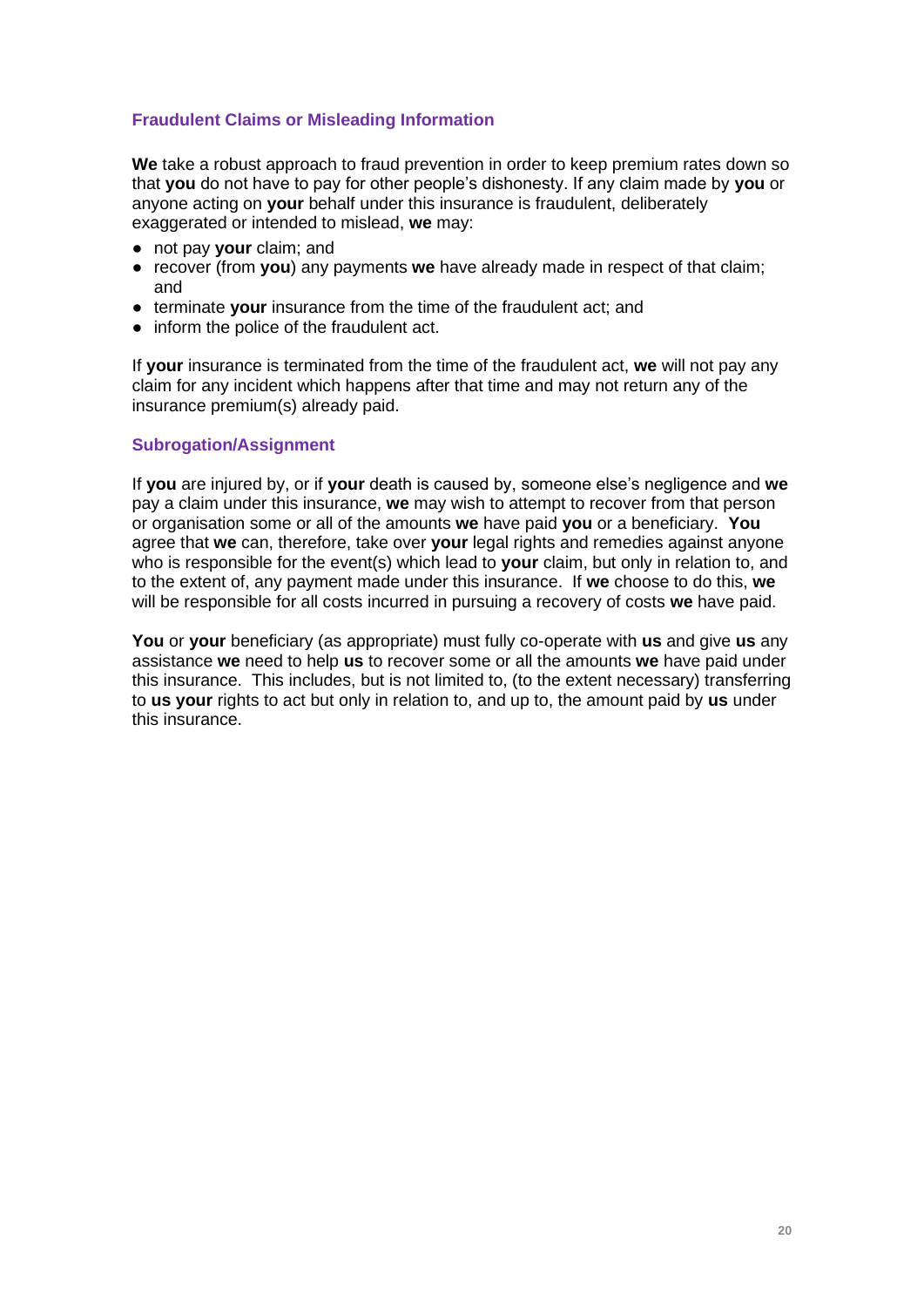# **Fraudulent Claims or Misleading Information**

**We** take a robust approach to fraud prevention in order to keep premium rates down so that **you** do not have to pay for other people's dishonesty. If any claim made by **you** or anyone acting on **your** behalf under this insurance is fraudulent, deliberately exaggerated or intended to mislead, **we** may:

- not pay **your** claim; and
- recover (from **you**) any payments **we** have already made in respect of that claim; and
- terminate **your** insurance from the time of the fraudulent act; and
- inform the police of the fraudulent act.

If **your** insurance is terminated from the time of the fraudulent act, **we** will not pay any claim for any incident which happens after that time and may not return any of the insurance premium(s) already paid.

## **Subrogation/Assignment**

If **you** are injured by, or if **your** death is caused by, someone else's negligence and **we** pay a claim under this insurance, **we** may wish to attempt to recover from that person or organisation some or all of the amounts **we** have paid **you** or a beneficiary. **You** agree that **we** can, therefore, take over **your** legal rights and remedies against anyone who is responsible for the event(s) which lead to **your** claim, but only in relation to, and to the extent of, any payment made under this insurance. If **we** choose to do this, **we** will be responsible for all costs incurred in pursuing a recovery of costs **we** have paid.

**You** or **your** beneficiary (as appropriate) must fully co-operate with **us** and give **us** any assistance **we** need to help **us** to recover some or all the amounts **we** have paid under this insurance. This includes, but is not limited to, (to the extent necessary) transferring to **us your** rights to act but only in relation to, and up to, the amount paid by **us** under this insurance.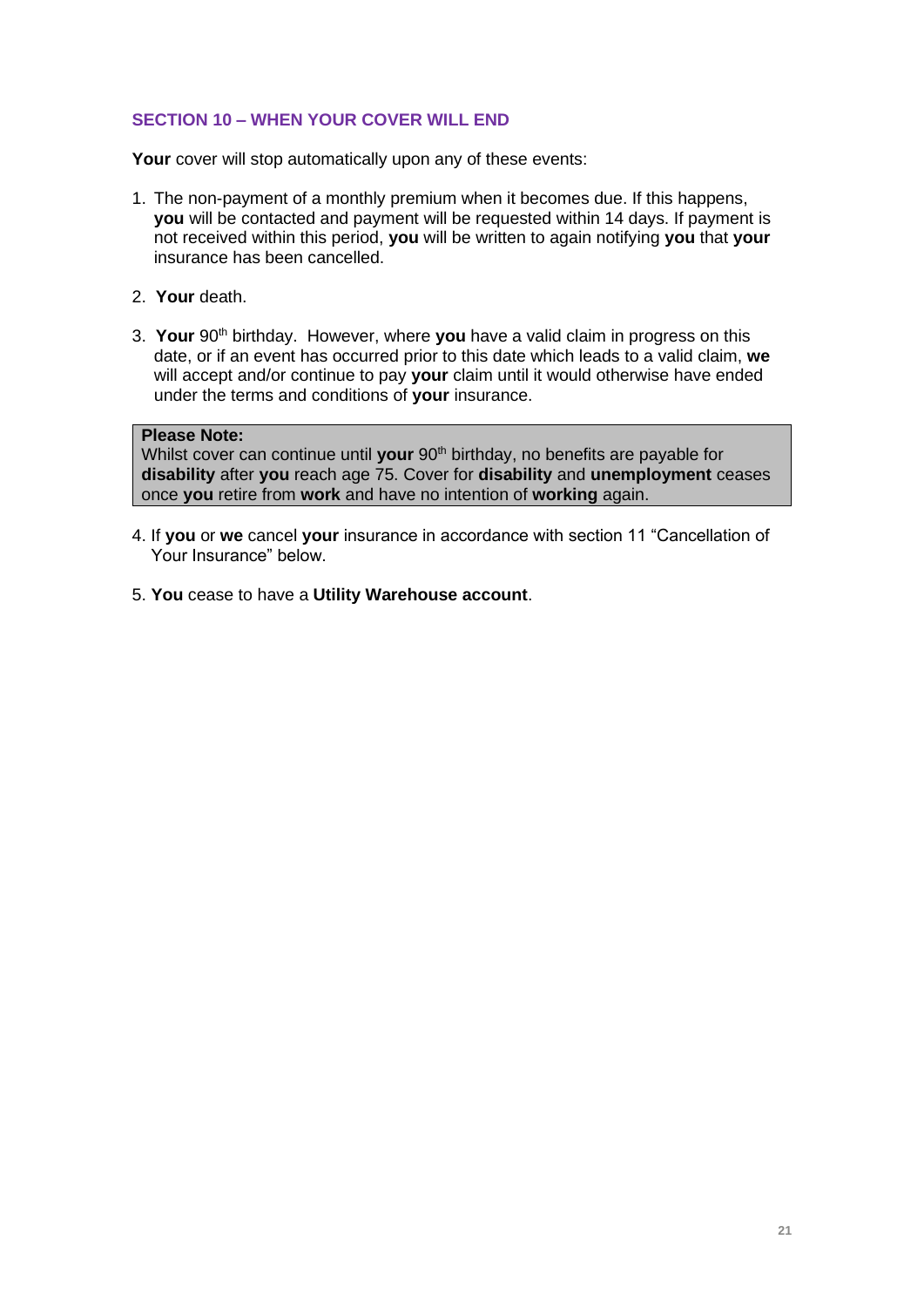# **SECTION 10 – WHEN YOUR COVER WILL END**

Your cover will stop automatically upon any of these events:

- 1. The non-payment of a monthly premium when it becomes due. If this happens, **you** will be contacted and payment will be requested within 14 days. If payment is not received within this period, **you** will be written to again notifying **you** that **your**  insurance has been cancelled.
- 2. **Your** death.
- 3. **Your** 90th birthday. However, where **you** have a valid claim in progress on this date, or if an event has occurred prior to this date which leads to a valid claim, **we** will accept and/or continue to pay **your** claim until it would otherwise have ended under the terms and conditions of **your** insurance.

# **Please Note:**

Whilst cover can continue until your 90<sup>th</sup> birthday, no benefits are payable for **disability** after **you** reach age 75. Cover for **disability** and **unemployment** ceases once **you** retire from **work** and have no intention of **working** again.

- 4. If **you** or **we** cancel **your** insurance in accordance with section 11 "Cancellation of Your Insurance" below.
- 5. **You** cease to have a **Utility Warehouse account**.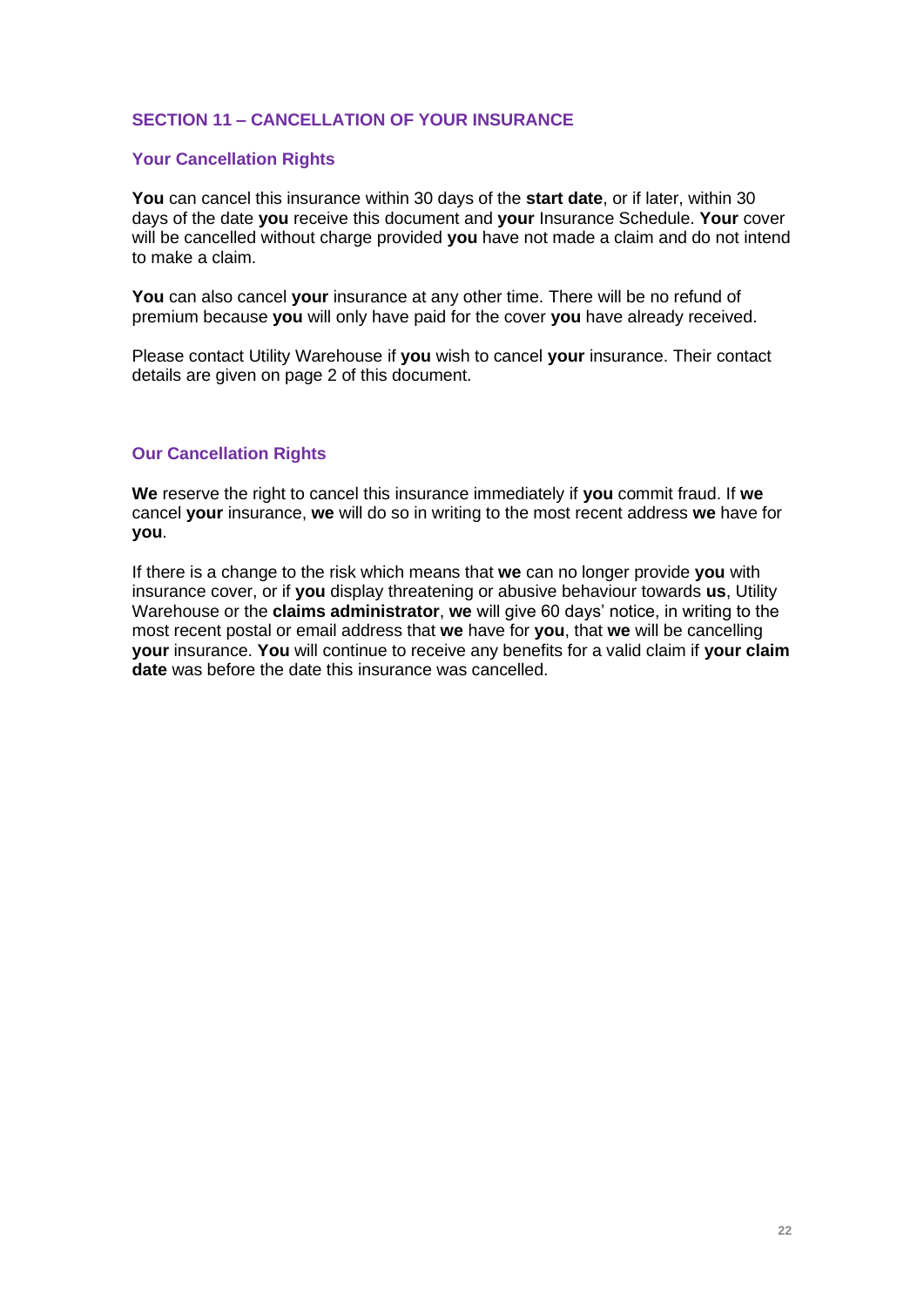# **SECTION 11 – CANCELLATION OF YOUR INSURANCE**

## **Your Cancellation Rights**

**You** can cancel this insurance within 30 days of the **start date**, or if later, within 30 days of the date **you** receive this document and **your** Insurance Schedule. **Your** cover will be cancelled without charge provided **you** have not made a claim and do not intend to make a claim.

**You** can also cancel **your** insurance at any other time. There will be no refund of premium because **you** will only have paid for the cover **you** have already received.

Please contact Utility Warehouse if **you** wish to cancel **your** insurance. Their contact details are given on page 2 of this document.

## **Our Cancellation Rights**

**We** reserve the right to cancel this insurance immediately if **you** commit fraud. If **we** cancel **your** insurance, **we** will do so in writing to the most recent address **we** have for **you**.

If there is a change to the risk which means that **we** can no longer provide **you** with insurance cover, or if **you** display threatening or abusive behaviour towards **us**, Utility Warehouse or the **claims administrator**, **we** will give 60 days' notice, in writing to the most recent postal or email address that **we** have for **you**, that **we** will be cancelling **your** insurance. **You** will continue to receive any benefits for a valid claim if **your claim date** was before the date this insurance was cancelled.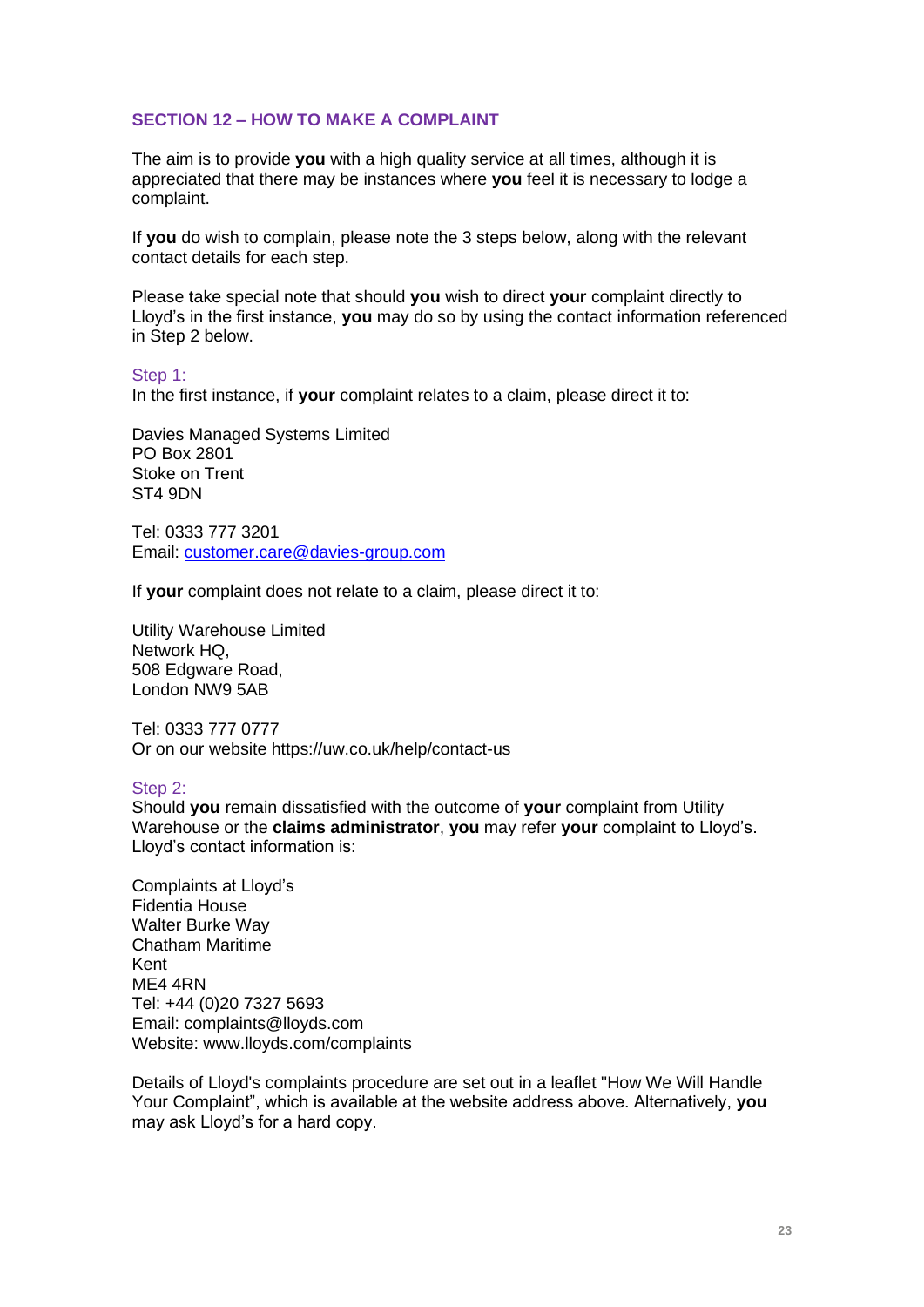## **SECTION 12 – HOW TO MAKE A COMPLAINT**

The aim is to provide **you** with a high quality service at all times, although it is appreciated that there may be instances where **you** feel it is necessary to lodge a complaint.

If **you** do wish to complain, please note the 3 steps below, along with the relevant contact details for each step.

Please take special note that should **you** wish to direct **your** complaint directly to Lloyd's in the first instance, **you** may do so by using the contact information referenced in Step 2 below.

#### Step 1:

In the first instance, if **your** complaint relates to a claim, please direct it to:

Davies Managed Systems Limited PO Box 2801 Stoke on Trent ST4 9DN

Tel: 0333 777 3201 Email: [customer.care@davies-group.com](mailto:customer.care@davies-group.com)

If **your** complaint does not relate to a claim, please direct it to:

Utility Warehouse Limited Network HQ, 508 Edgware Road, London NW9 5AB

Tel: 0333 777 0777 Or on our website https://uw.co.uk/help/contact-us

### Step 2:

Should **you** remain dissatisfied with the outcome of **your** complaint from Utility Warehouse or the **claims administrator**, **you** may refer **your** complaint to Lloyd's. Lloyd's contact information is:

Complaints at Lloyd's Fidentia House Walter Burke Way Chatham Maritime Kent ME4 4RN Tel: +44 (0)20 7327 5693 Email: complaints@lloyds.com Website: www.lloyds.com/complaints

Details of Lloyd's complaints procedure are set out in a leaflet "How We Will Handle Your Complaint", which is available at the website address above. Alternatively, **you**  may ask Lloyd's for a hard copy.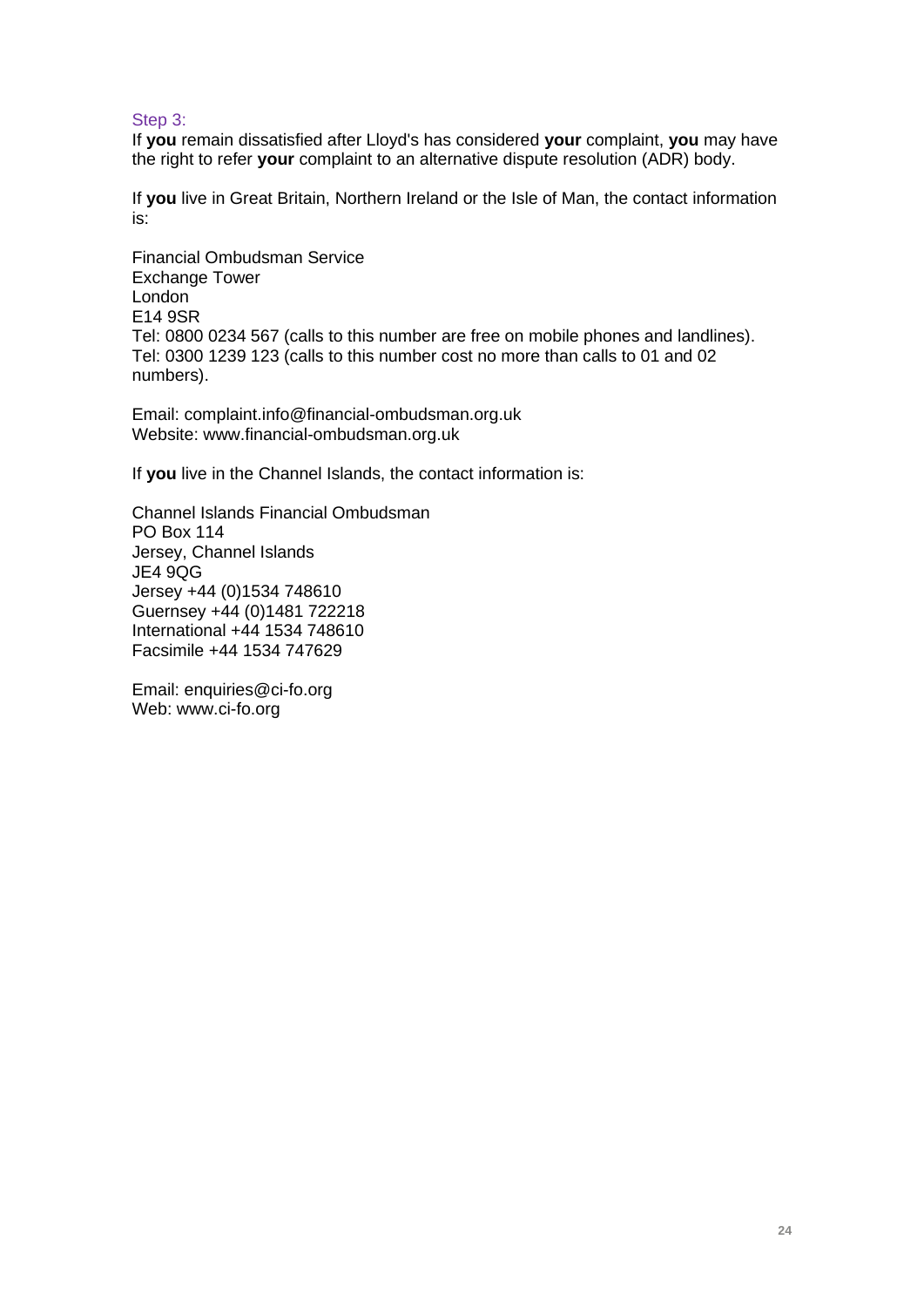## Step 3:

If **you** remain dissatisfied after Lloyd's has considered **your** complaint, **you** may have the right to refer **your** complaint to an alternative dispute resolution (ADR) body.

If **you** live in Great Britain, Northern Ireland or the Isle of Man, the contact information is:

Financial Ombudsman Service Exchange Tower London E14 9SR Tel: 0800 0234 567 (calls to this number are free on mobile phones and landlines). Tel: 0300 1239 123 (calls to this number cost no more than calls to 01 and 02 numbers).

Email: complaint.info@financial-ombudsman.org.uk Website: www.financial-ombudsman.org.uk

If **you** live in the Channel Islands, the contact information is:

Channel Islands Financial Ombudsman PO Box 114 Jersey, Channel Islands JE4 9QG Jersey +44 (0)1534 748610 Guernsey +44 (0)1481 722218 International +44 1534 748610 Facsimile +44 1534 747629

Email: enquiries@ci-fo.org Web: www.ci-fo.org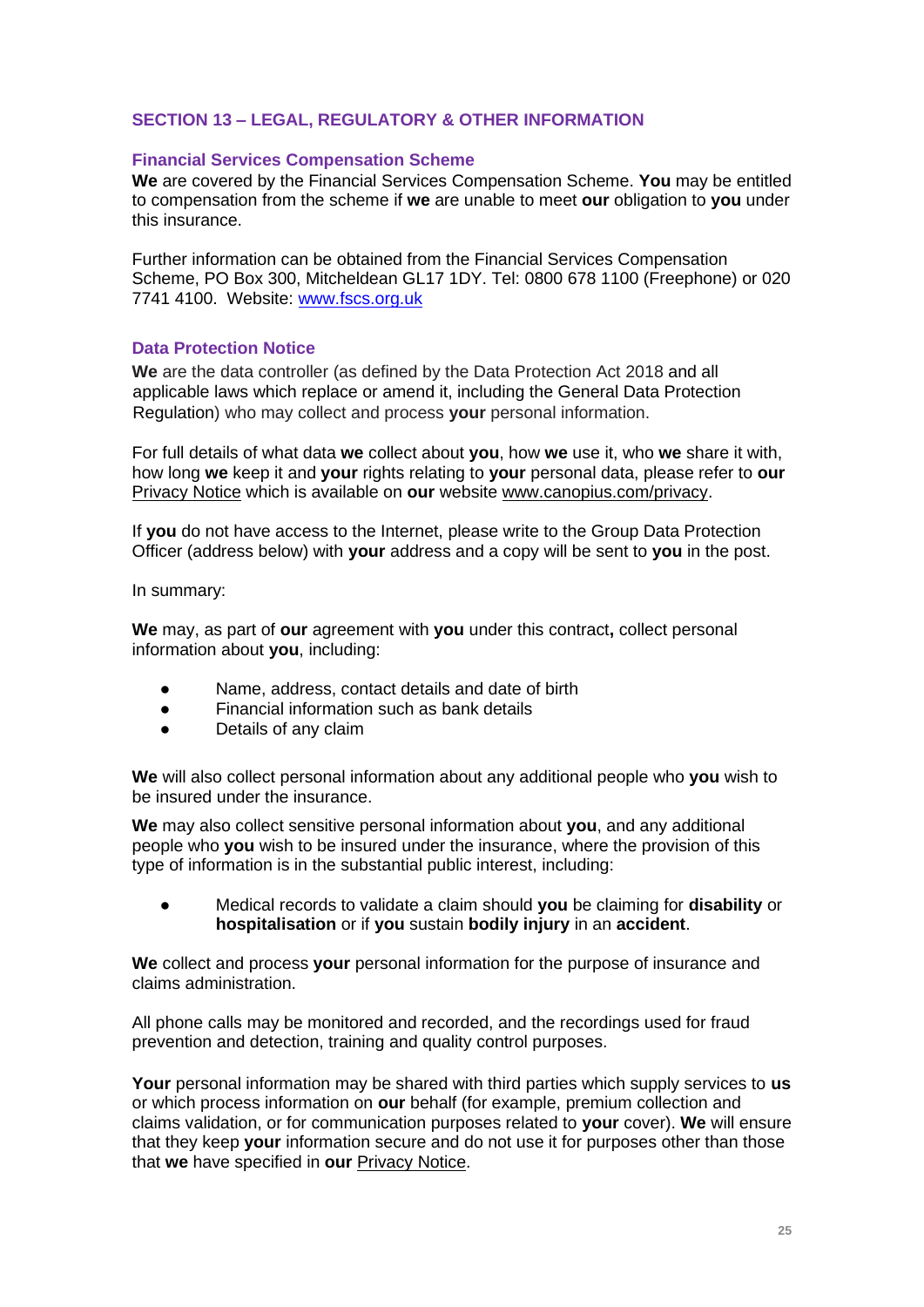# **SECTION 13 – LEGAL, REGULATORY & OTHER INFORMATION**

## **Financial Services Compensation Scheme**

**We** are covered by the Financial Services Compensation Scheme. **You** may be entitled to compensation from the scheme if **we** are unable to meet **our** obligation to **you** under this insurance.

Further information can be obtained from the Financial Services Compensation Scheme, PO Box 300, Mitcheldean GL17 1DY. Tel: 0800 678 1100 (Freephone) or 020 7741 4100. Website: [www.fscs.org.uk](http://www.fscs.org.uk/)

## **Data Protection Notice**

**We** are the data controller (as defined by the Data Protection Act 2018 and all applicable laws which replace or amend it, including the General Data Protection Regulation) who may collect and process **your** personal information.

For full details of what data **we** collect about **you**, how **we** use it, who **we** share it with, how long **we** keep it and **your** rights relating to **your** personal data, please refer to **our** Privacy Notice which is available on **our** website [www.canopius.com/](http://www.canopius.com/)privacy.

If **you** do not have access to the Internet, please write to the Group Data Protection Officer (address below) with **your** address and a copy will be sent to **you** in the post.

In summary:

**We** may, as part of **our** agreement with **you** under this contract**,** collect personal information about **you**, including:

- Name, address, contact details and date of birth
- Financial information such as bank details
- Details of any claim

**We** will also collect personal information about any additional people who **you** wish to be insured under the insurance.

**We** may also collect sensitive personal information about **you**, and any additional people who **you** wish to be insured under the insurance, where the provision of this type of information is in the substantial public interest, including:

● Medical records to validate a claim should **you** be claiming for **disability** or **hospitalisation** or if **you** sustain **bodily injury** in an **accident**.

**We** collect and process **your** personal information for the purpose of insurance and claims administration.

All phone calls may be monitored and recorded, and the recordings used for fraud prevention and detection, training and quality control purposes.

**Your** personal information may be shared with third parties which supply services to **us** or which process information on **our** behalf (for example, premium collection and claims validation, or for communication purposes related to **your** cover). **We** will ensure that they keep **your** information secure and do not use it for purposes other than those that **we** have specified in **our** Privacy Notice.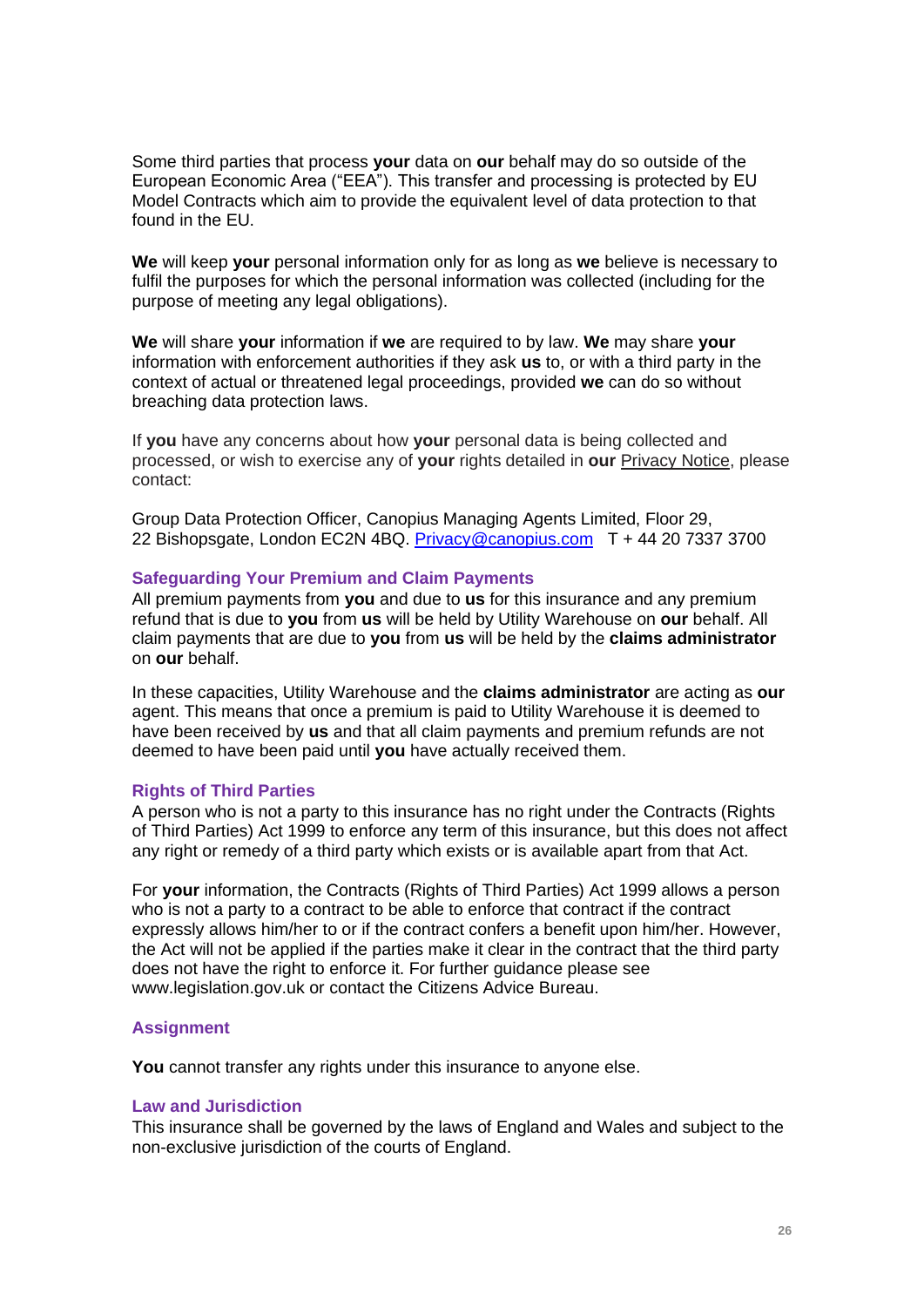Some third parties that process **your** data on **our** behalf may do so outside of the European Economic Area ("EEA"). This transfer and processing is protected by EU Model Contracts which aim to provide the equivalent level of data protection to that found in the EU.

**We** will keep **your** personal information only for as long as **we** believe is necessary to fulfil the purposes for which the personal information was collected (including for the purpose of meeting any legal obligations).

**We** will share **your** information if **we** are required to by law. **We** may share **your** information with enforcement authorities if they ask **us** to, or with a third party in the context of actual or threatened legal proceedings, provided **we** can do so without breaching data protection laws.

If **you** have any concerns about how **your** personal data is being collected and processed, or wish to exercise any of **your** rights detailed in **our** Privacy Notice, please contact:

Group Data Protection Officer, Canopius Managing Agents Limited, Floor 29, 22 Bishopsgate, London EC2N 4BQ. [Privacy@canopius.com](mailto:Privacy@canopius.com) T + 44 20 7337 3700

#### **Safeguarding Your Premium and Claim Payments**

All premium payments from **you** and due to **us** for this insurance and any premium refund that is due to **you** from **us** will be held by Utility Warehouse on **our** behalf. All claim payments that are due to **you** from **us** will be held by the **claims administrator** on **our** behalf.

In these capacities, Utility Warehouse and the **claims administrator** are acting as **our** agent. This means that once a premium is paid to Utility Warehouse it is deemed to have been received by **us** and that all claim payments and premium refunds are not deemed to have been paid until **you** have actually received them.

#### **Rights of Third Parties**

A person who is not a party to this insurance has no right under the Contracts (Rights of Third Parties) Act 1999 to enforce any term of this insurance, but this does not affect any right or remedy of a third party which exists or is available apart from that Act.

For **your** information, the Contracts (Rights of Third Parties) Act 1999 allows a person who is not a party to a contract to be able to enforce that contract if the contract expressly allows him/her to or if the contract confers a benefit upon him/her. However, the Act will not be applied if the parties make it clear in the contract that the third party does not have the right to enforce it. For further guidance please see www.legislation.gov.uk or contact the Citizens Advice Bureau.

#### **Assignment**

**You** cannot transfer any rights under this insurance to anyone else.

#### **Law and Jurisdiction**

This insurance shall be governed by the laws of England and Wales and subject to the non-exclusive jurisdiction of the courts of England.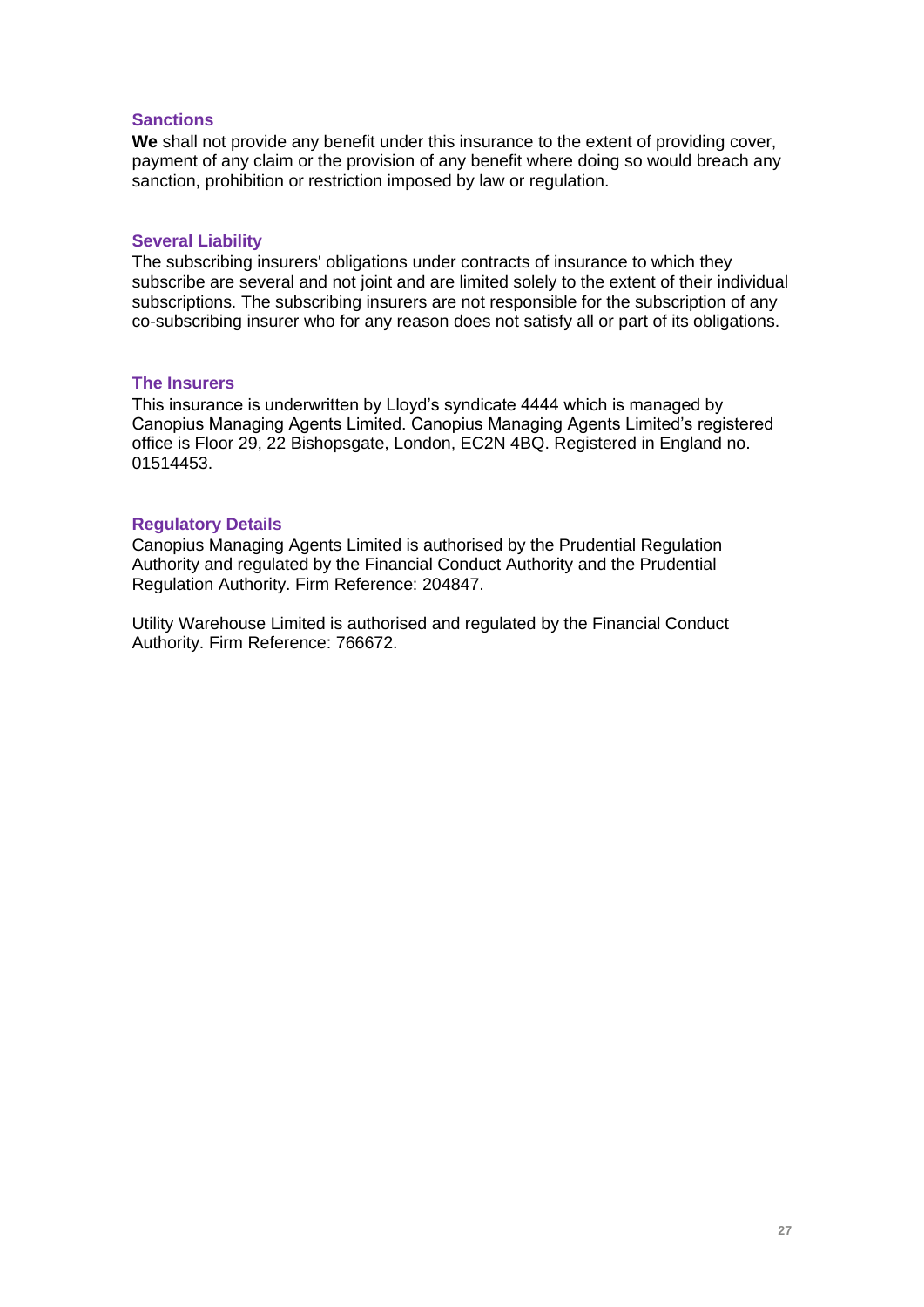## **Sanctions**

**We** shall not provide any benefit under this insurance to the extent of providing cover, payment of any claim or the provision of any benefit where doing so would breach any sanction, prohibition or restriction imposed by law or regulation.

## **Several Liability**

The subscribing insurers' obligations under contracts of insurance to which they subscribe are several and not joint and are limited solely to the extent of their individual subscriptions. The subscribing insurers are not responsible for the subscription of any co-subscribing insurer who for any reason does not satisfy all or part of its obligations.

### **The Insurers**

This insurance is underwritten by Lloyd's syndicate 4444 which is managed by Canopius Managing Agents Limited. Canopius Managing Agents Limited's registered office is Floor 29, 22 Bishopsgate, London, EC2N 4BQ. Registered in England no. 01514453.

## **Regulatory Details**

Canopius Managing Agents Limited is authorised by the Prudential Regulation Authority and regulated by the Financial Conduct Authority and the Prudential Regulation Authority. Firm Reference: 204847.

Utility Warehouse Limited is authorised and regulated by the Financial Conduct Authority. Firm Reference: 766672.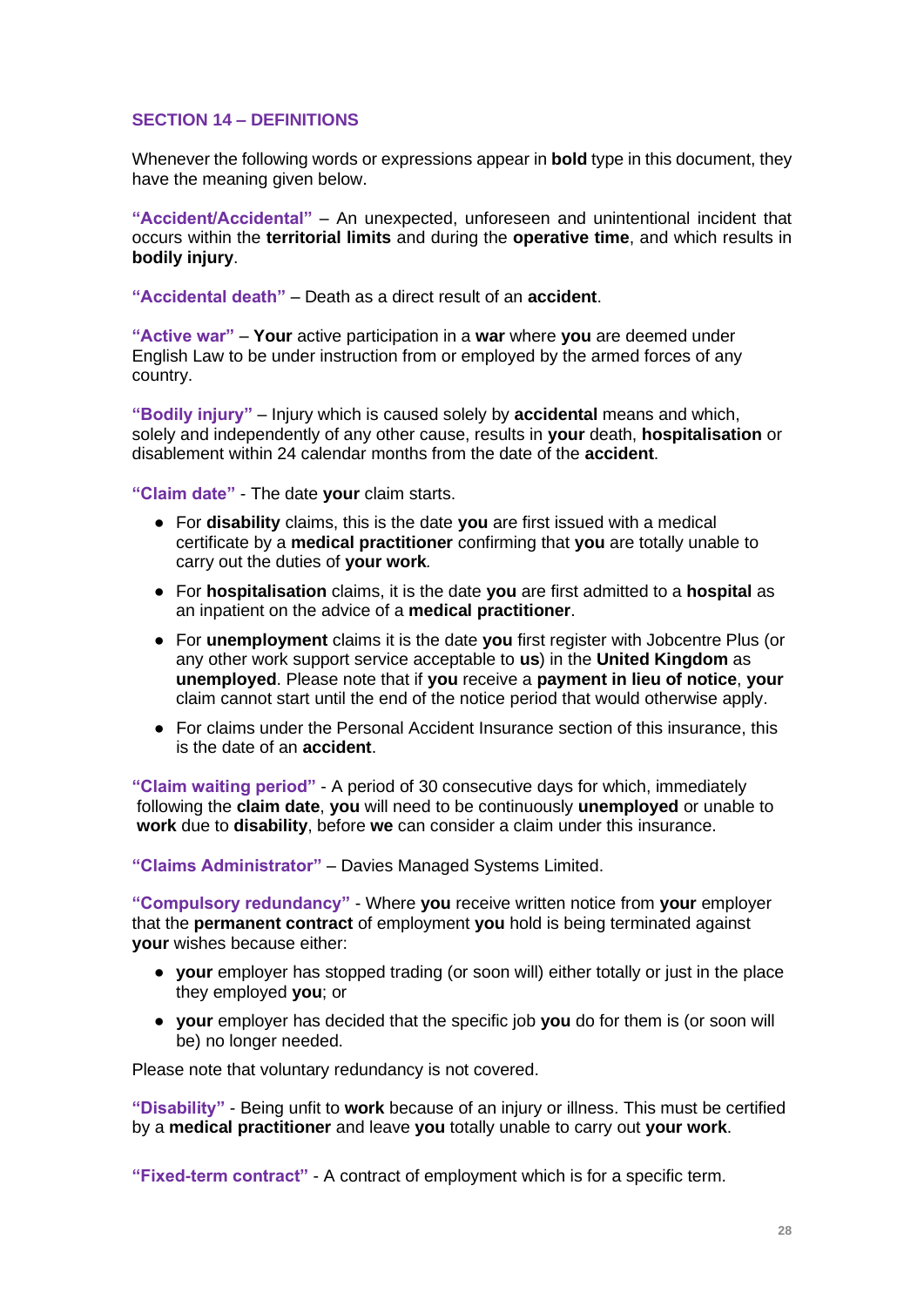## **SECTION 14 – DEFINITIONS**

Whenever the following words or expressions appear in **bold** type in this document, they have the meaning given below.

**"Accident/Accidental"** – An unexpected, unforeseen and unintentional incident that occurs within the **territorial limits** and during the **operative time**, and which results in **bodily injury**.

**"Accidental death"** – Death as a direct result of an **accident**.

**"Active war"** – **Your** active participation in a **war** where **you** are deemed under English Law to be under instruction from or employed by the armed forces of any country.

**"Bodily injury"** – Injury which is caused solely by **accidental** means and which, solely and independently of any other cause, results in **your** death, **hospitalisation** or disablement within 24 calendar months from the date of the **accident**.

**"Claim date"** - The date **your** claim starts.

- For **disability** claims, this is the date **you** are first issued with a medical certificate by a **medical practitioner** confirming that **you** are totally unable to carry out the duties of **your work***.*
- For **hospitalisation** claims, it is the date **you** are first admitted to a **hospital** as an inpatient on the advice of a **medical practitioner**.
- For **unemployment** claims it is the date **you** first register with Jobcentre Plus (or any other work support service acceptable to **us**) in the **United Kingdom** as **unemployed**. Please note that if **you** receive a **payment in lieu of notice**, **your** claim cannot start until the end of the notice period that would otherwise apply.
- For claims under the Personal Accident Insurance section of this insurance, this is the date of an **accident**.

**"Claim waiting period"** - A period of 30 consecutive days for which, immediately following the **claim date**, **you** will need to be continuously **unemployed** or unable to **work** due to **disability**, before **we** can consider a claim under this insurance.

**"Claims Administrator"** – Davies Managed Systems Limited.

**"Compulsory redundancy"** - Where **you** receive written notice from **your** employer that the **permanent contract** of employment **you** hold is being terminated against **your** wishes because either:

- **your** employer has stopped trading (or soon will) either totally or just in the place they employed **you**; or
- **your** employer has decided that the specific job **you** do for them is (or soon will be) no longer needed.

Please note that voluntary redundancy is not covered.

**"Disability"** - Being unfit to **work** because of an injury or illness. This must be certified by a **medical practitioner** and leave **you** totally unable to carry out **your work**.

**"Fixed-term contract"** - A contract of employment which is for a specific term.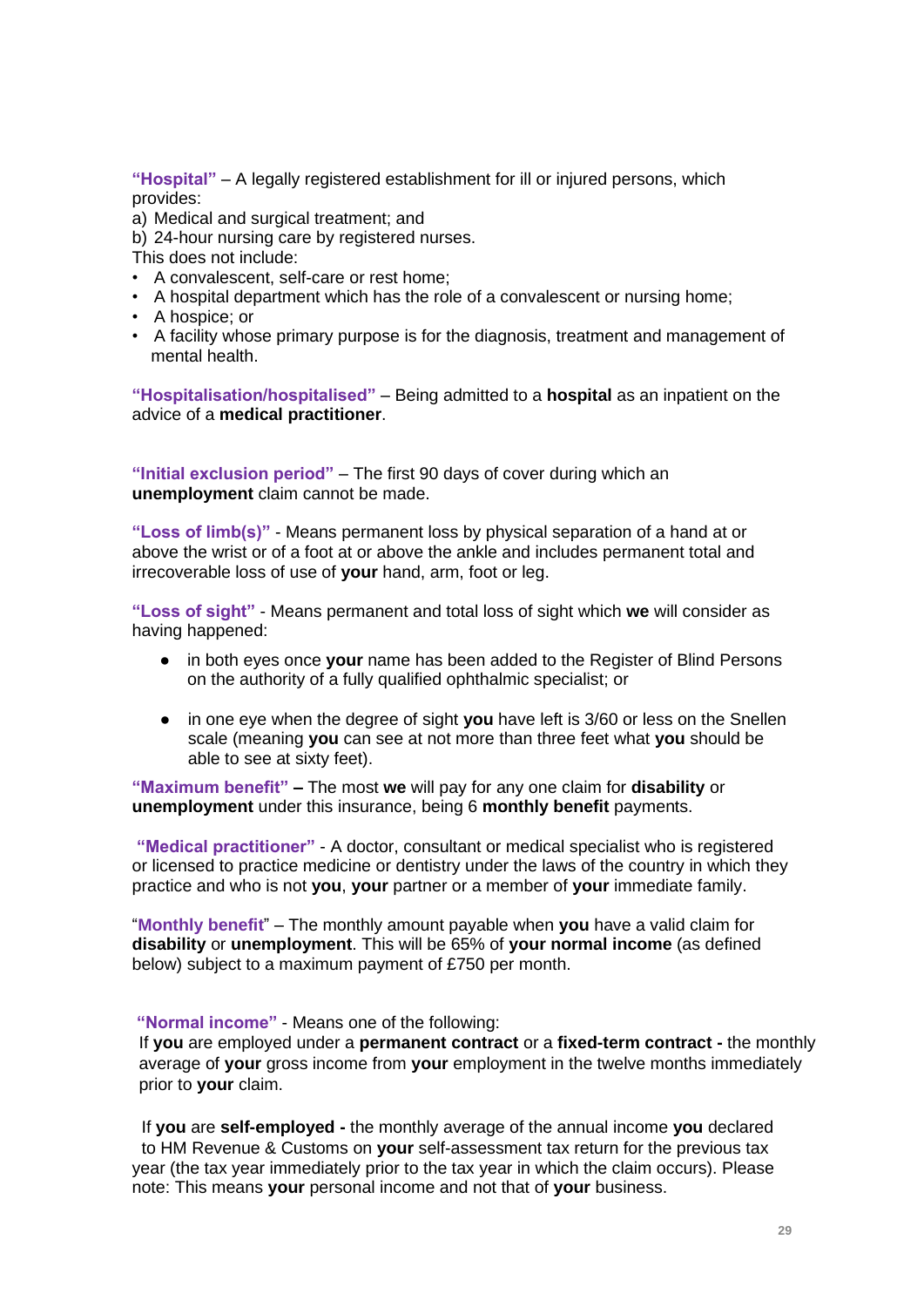**"Hospital"** – A legally registered establishment for ill or injured persons, which provides:

a) Medical and surgical treatment; and

b) 24-hour nursing care by registered nurses.

This does not include:

- A convalescent, self-care or rest home;
- A hospital department which has the role of a convalescent or nursing home;
- A hospice; or
- A facility whose primary purpose is for the diagnosis, treatment and management of mental health.

**"Hospitalisation/hospitalised"** – Being admitted to a **hospital** as an inpatient on the advice of a **medical practitioner**.

**"Initial exclusion period"** – The first 90 days of cover during which an **unemployment** claim cannot be made.

**"Loss of limb(s)"** - Means permanent loss by physical separation of a hand at or above the wrist or of a foot at or above the ankle and includes permanent total and irrecoverable loss of use of **your** hand, arm, foot or leg.

**"Loss of sight"** - Means permanent and total loss of sight which **we** will consider as having happened:

- in both eyes once **your** name has been added to the Register of Blind Persons on the authority of a fully qualified ophthalmic specialist; or
- in one eye when the degree of sight you have left is 3/60 or less on the Snellen scale (meaning **you** can see at not more than three feet what **you** should be able to see at sixty feet).

**"Maximum benefit" –** The most **we** will pay for any one claim for **disability** or **unemployment** under this insurance, being 6 **monthly benefit** payments.

**"Medical practitioner"** - A doctor, consultant or medical specialist who is registered or licensed to practice medicine or dentistry under the laws of the country in which they practice and who is not **you**, **your** partner or a member of **your** immediate family.

"**Monthly benefit**" – The monthly amount payable when **you** have a valid claim for **disability** or **unemployment**. This will be 65% of **your normal income** (as defined below) subject to a maximum payment of £750 per month.

#### **"Normal income"** - Means one of the following:

If **you** are employed under a **permanent contract** or a **fixed-term contract -** the monthly average of **your** gross income from **your** employment in the twelve months immediately prior to **your** claim.

 If **you** are **self-employed -** the monthly average of the annual income **you** declared to HM Revenue & Customs on **your** self-assessment tax return for the previous tax year (the tax year immediately prior to the tax year in which the claim occurs). Please note: This means **your** personal income and not that of **your** business.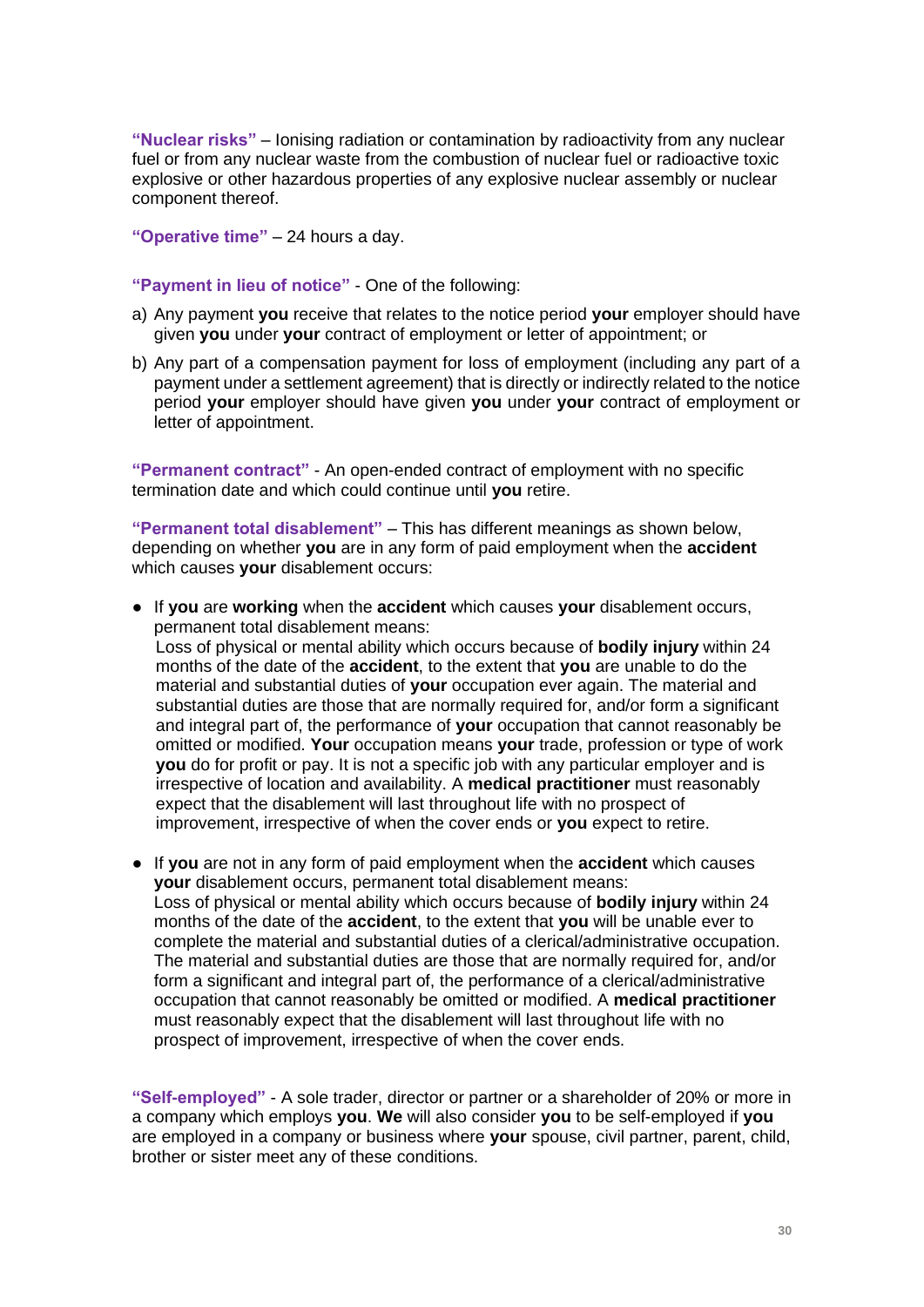**"Nuclear risks"** – Ionising radiation or contamination by radioactivity from any nuclear fuel or from any nuclear waste from the combustion of nuclear fuel or radioactive toxic explosive or other hazardous properties of any explosive nuclear assembly or nuclear component thereof.

**"Operative time"** – 24 hours a day.

## **"Payment in lieu of notice"** - One of the following:

- a) Any payment **you** receive that relates to the notice period **your** employer should have given **you** under **your** contract of employment or letter of appointment; or
- b) Any part of a compensation payment for loss of employment (including any part of a payment under a settlement agreement) that is directly or indirectly related to the notice period **your** employer should have given **you** under **your** contract of employment or letter of appointment.

**"Permanent contract"** - An open-ended contract of employment with no specific termination date and which could continue until **you** retire.

**"Permanent total disablement"** – This has different meanings as shown below, depending on whether **you** are in any form of paid employment when the **accident** which causes **your** disablement occurs:

● If **you** are **working** when the **accident** which causes **your** disablement occurs, permanent total disablement means:

 Loss of physical or mental ability which occurs because of **bodily injury** within 24 months of the date of the **accident**, to the extent that **you** are unable to do the material and substantial duties of **your** occupation ever again. The material and substantial duties are those that are normally required for, and/or form a significant and integral part of, the performance of **your** occupation that cannot reasonably be omitted or modified. **Your** occupation means **your** trade, profession or type of work **you** do for profit or pay. It is not a specific job with any particular employer and is irrespective of location and availability. A **medical practitioner** must reasonably expect that the disablement will last throughout life with no prospect of improvement, irrespective of when the cover ends or **you** expect to retire.

● If **you** are not in any form of paid employment when the **accident** which causes **your** disablement occurs, permanent total disablement means: Loss of physical or mental ability which occurs because of **bodily injury** within 24 months of the date of the **accident**, to the extent that **you** will be unable ever to complete the material and substantial duties of a clerical/administrative occupation. The material and substantial duties are those that are normally required for, and/or form a significant and integral part of, the performance of a clerical/administrative occupation that cannot reasonably be omitted or modified. A **medical practitioner** must reasonably expect that the disablement will last throughout life with no prospect of improvement, irrespective of when the cover ends.

**"Self-employed"** - A sole trader, director or partner or a shareholder of 20% or more in a company which employs **you**. **We** will also consider **you** to be self-employed if **you**  are employed in a company or business where **your** spouse, civil partner, parent, child, brother or sister meet any of these conditions.